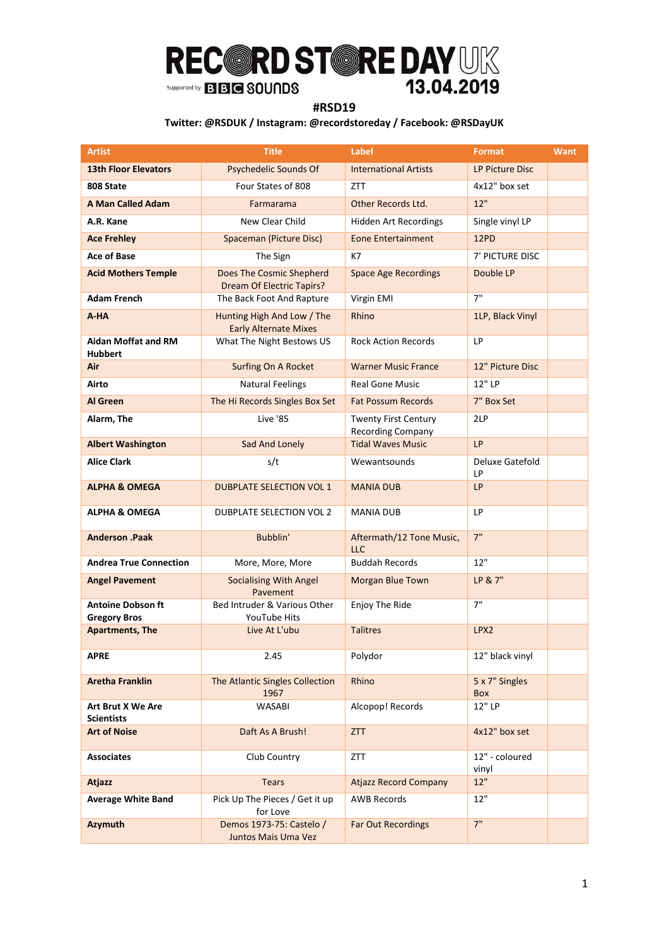### **#RSD19**

| <b>Artist</b>                                   | <b>Title</b>                                                 | <b>Label</b>                                            | <b>Format</b>           | <b>Want</b> |
|-------------------------------------------------|--------------------------------------------------------------|---------------------------------------------------------|-------------------------|-------------|
| <b>13th Floor Elevators</b>                     | Psychedelic Sounds Of                                        | <b>International Artists</b>                            | LP Picture Disc         |             |
| 808 State                                       | Four States of 808                                           | <b>ZTT</b>                                              | 4x12" box set           |             |
| <b>A Man Called Adam</b>                        | Farmarama                                                    | Other Records Ltd.                                      | 12"                     |             |
| A.R. Kane                                       | New Clear Child                                              | <b>Hidden Art Recordings</b>                            | Single vinyl LP         |             |
| <b>Ace Frehley</b>                              | Spaceman (Picture Disc)                                      | <b>Eone Entertainment</b>                               | 12PD                    |             |
| <b>Ace of Base</b>                              | The Sign                                                     | K7                                                      | 7' PICTURE DISC         |             |
| <b>Acid Mothers Temple</b>                      | Does The Cosmic Shepherd<br><b>Dream Of Electric Tapirs?</b> | <b>Space Age Recordings</b>                             | Double LP               |             |
| <b>Adam French</b>                              | The Back Foot And Rapture                                    | Virgin EMI                                              | 7"                      |             |
| A-HA                                            | Hunting High And Low / The<br><b>Early Alternate Mixes</b>   | Rhino                                                   | 1LP, Black Vinyl        |             |
| <b>Aidan Moffat and RM</b><br><b>Hubbert</b>    | What The Night Bestows US                                    | <b>Rock Action Records</b>                              | LP                      |             |
| Air                                             | Surfing On A Rocket                                          | <b>Warner Music France</b>                              | 12" Picture Disc        |             |
| Airto                                           | <b>Natural Feelings</b>                                      | <b>Real Gone Music</b>                                  | 12" LP                  |             |
| <b>Al Green</b>                                 | The Hi Records Singles Box Set                               | <b>Fat Possum Records</b>                               | 7" Box Set              |             |
| Alarm, The                                      | Live '85                                                     | <b>Twenty First Century</b><br><b>Recording Company</b> | 2LP                     |             |
| <b>Albert Washington</b>                        | Sad And Lonely                                               | <b>Tidal Waves Music</b>                                | <b>LP</b>               |             |
| <b>Alice Clark</b>                              | s/t                                                          | Wewantsounds                                            | Deluxe Gatefold<br>LP   |             |
| <b>ALPHA &amp; OMEGA</b>                        | <b>DUBPLATE SELECTION VOL 1</b>                              | <b>MANIA DUB</b>                                        | LP                      |             |
| <b>ALPHA &amp; OMEGA</b>                        | DUBPLATE SELECTION VOL 2                                     | <b>MANIA DUB</b>                                        | LP                      |             |
| <b>Anderson .Paak</b>                           | Bubblin'                                                     | Aftermath/12 Tone Music,<br><b>LLC</b>                  | 7"                      |             |
| <b>Andrea True Connection</b>                   | More, More, More                                             | <b>Buddah Records</b>                                   | 12"                     |             |
| <b>Angel Pavement</b>                           | <b>Socialising With Angel</b><br>Pavement                    | <b>Morgan Blue Town</b>                                 | LP & 7"                 |             |
| <b>Antoine Dobson ft</b><br><b>Gregory Bros</b> | Bed Intruder & Various Other<br>YouTube Hits                 | Enjoy The Ride                                          | 7"                      |             |
| <b>Apartments, The</b>                          | Live At L'ubu                                                | <b>Talitres</b>                                         | LPX2                    |             |
| APRE                                            | 2.45                                                         | Polydor                                                 | 12" black vinyl         |             |
| <b>Aretha Franklin</b>                          | The Atlantic Singles Collection<br>1967                      | Rhino                                                   | 5 x 7" Singles<br>Box   |             |
| Art Brut X We Are<br><b>Scientists</b>          | <b>WASABI</b>                                                | Alcopop! Records                                        | 12" LP                  |             |
| <b>Art of Noise</b>                             | Daft As A Brush!                                             | <b>ZTT</b>                                              | 4x12" box set           |             |
| <b>Associates</b>                               | Club Country                                                 | ZTT                                                     | 12" - coloured<br>vinyl |             |
| <b>Atjazz</b>                                   | <b>Tears</b>                                                 | <b>Atjazz Record Company</b>                            | 12"                     |             |
| <b>Average White Band</b>                       | Pick Up The Pieces / Get it up<br>for Love                   | <b>AWB Records</b>                                      | 12"                     |             |
| Azymuth                                         | Demos 1973-75: Castelo /<br>Juntos Mais Uma Vez              | Far Out Recordings                                      | 7"                      |             |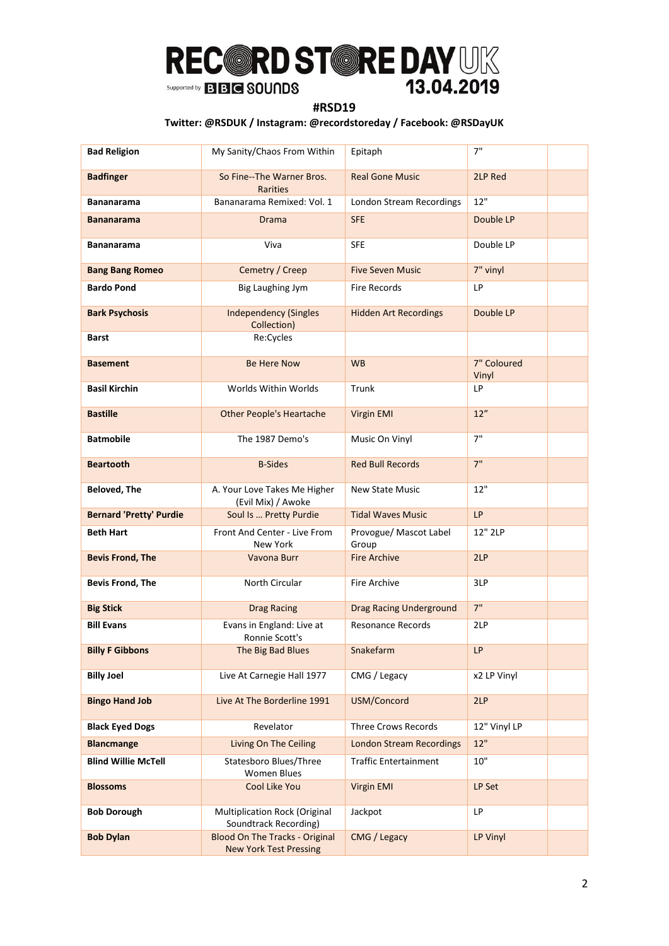### **#RSD19**

| <b>Bad Religion</b>            | My Sanity/Chaos From Within                                            | Epitaph                         | 7"                   |  |
|--------------------------------|------------------------------------------------------------------------|---------------------------------|----------------------|--|
| <b>Badfinger</b>               | So Fine--The Warner Bros.<br><b>Rarities</b>                           | <b>Real Gone Music</b>          | 2LP Red              |  |
| <b>Bananarama</b>              | Bananarama Remixed: Vol. 1                                             | London Stream Recordings        | 12"                  |  |
| <b>Bananarama</b>              | Drama                                                                  | <b>SFE</b>                      | Double LP            |  |
| Bananarama                     | Viva                                                                   | <b>SFE</b>                      | Double LP            |  |
| <b>Bang Bang Romeo</b>         | Cemetry / Creep                                                        | <b>Five Seven Music</b>         | 7" vinyl             |  |
| <b>Bardo Pond</b>              | <b>Big Laughing Jym</b>                                                | <b>Fire Records</b>             | <b>LP</b>            |  |
| <b>Bark Psychosis</b>          | <b>Independency (Singles</b><br>Collection)                            | <b>Hidden Art Recordings</b>    | Double LP            |  |
| Barst                          | Re:Cycles                                                              |                                 |                      |  |
| <b>Basement</b>                | <b>Be Here Now</b>                                                     | <b>WB</b>                       | 7" Coloured<br>Vinyl |  |
| <b>Basil Kirchin</b>           | Worlds Within Worlds                                                   | Trunk                           | LP                   |  |
| <b>Bastille</b>                | <b>Other People's Heartache</b>                                        | Virgin EMI                      | 12"                  |  |
| <b>Batmobile</b>               | The 1987 Demo's                                                        | Music On Vinyl                  | 7"                   |  |
| <b>Beartooth</b>               | <b>B-Sides</b>                                                         | <b>Red Bull Records</b>         | 7"                   |  |
| <b>Beloved, The</b>            | A. Your Love Takes Me Higher<br>(Evil Mix) / Awoke                     | <b>New State Music</b>          | 12"                  |  |
| <b>Bernard 'Pretty' Purdie</b> | Soul Is  Pretty Purdie                                                 | <b>Tidal Waves Music</b>        | <b>LP</b>            |  |
| <b>Beth Hart</b>               | Front And Center - Live From<br>New York                               | Provogue/ Mascot Label<br>Group | 12" 2LP              |  |
| <b>Bevis Frond, The</b>        | Vavona Burr                                                            | <b>Fire Archive</b>             | 2LP                  |  |
| <b>Bevis Frond, The</b>        | <b>North Circular</b>                                                  | <b>Fire Archive</b>             | 3LP                  |  |
| <b>Big Stick</b>               | <b>Drag Racing</b>                                                     | <b>Drag Racing Underground</b>  | 7"                   |  |
| <b>Bill Evans</b>              | Evans in England: Live at<br>Ronnie Scott's                            | <b>Resonance Records</b>        | 2LP                  |  |
| <b>Billy F Gibbons</b>         | The Big Bad Blues                                                      | Snakefarm                       | <b>LP</b>            |  |
| <b>Billy Joel</b>              | Live At Carnegie Hall 1977                                             | CMG / Legacy                    | x2 LP Vinyl          |  |
| <b>Bingo Hand Job</b>          | Live At The Borderline 1991                                            | USM/Concord                     | 2LP                  |  |
| <b>Black Eyed Dogs</b>         | Revelator                                                              | <b>Three Crows Records</b>      | 12" Vinyl LP         |  |
| <b>Blancmange</b>              | Living On The Ceiling                                                  | <b>London Stream Recordings</b> | 12"                  |  |
| <b>Blind Willie McTell</b>     | Statesboro Blues/Three<br><b>Women Blues</b>                           | <b>Traffic Entertainment</b>    | 10"                  |  |
| <b>Blossoms</b>                | Cool Like You                                                          | Virgin EMI                      | LP Set               |  |
| <b>Bob Dorough</b>             | Multiplication Rock (Original<br>Soundtrack Recording)                 | Jackpot                         | <b>LP</b>            |  |
| <b>Bob Dylan</b>               | <b>Blood On The Tracks - Original</b><br><b>New York Test Pressing</b> | CMG / Legacy                    | LP Vinyl             |  |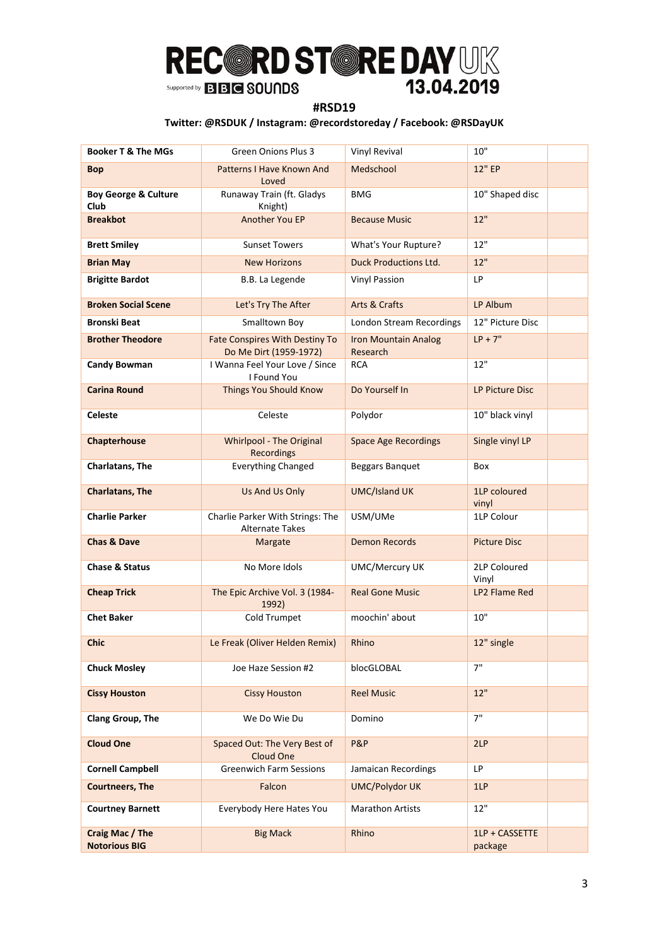### **#RSD19**

| <b>Booker T &amp; The MGs</b>           | <b>Green Onions Plus 3</b>                                      | Vinyl Revival                           | 10"                       |
|-----------------------------------------|-----------------------------------------------------------------|-----------------------------------------|---------------------------|
| Bop                                     | Patterns I Have Known And<br>Loved                              | Medschool                               | 12" EP                    |
| <b>Boy George &amp; Culture</b><br>Club | Runaway Train (ft. Gladys<br>Knight)                            | <b>BMG</b>                              | 10" Shaped disc           |
| <b>Breakbot</b>                         | Another You EP                                                  | <b>Because Music</b>                    | 12"                       |
| <b>Brett Smiley</b>                     | <b>Sunset Towers</b>                                            | What's Your Rupture?                    | 12"                       |
| <b>Brian May</b>                        | <b>New Horizons</b>                                             | <b>Duck Productions Ltd.</b>            | 12"                       |
| <b>Brigitte Bardot</b>                  | B.B. La Legende                                                 | <b>Vinyl Passion</b>                    | LP                        |
| <b>Broken Social Scene</b>              | Let's Try The After                                             | Arts & Crafts                           | LP Album                  |
| Bronski Beat                            | Smalltown Boy                                                   | London Stream Recordings                | 12" Picture Disc          |
| <b>Brother Theodore</b>                 | <b>Fate Conspires With Destiny To</b><br>Do Me Dirt (1959-1972) | <b>Iron Mountain Analog</b><br>Research | $LP + 7"$                 |
| <b>Candy Bowman</b>                     | I Wanna Feel Your Love / Since<br>I Found You                   | <b>RCA</b>                              | 12"                       |
| Carina Round                            | Things You Should Know                                          | Do Yourself In                          | LP Picture Disc           |
| <b>Celeste</b>                          | Celeste                                                         | Polydor                                 | 10" black vinyl           |
| Chapterhouse                            | <b>Whirlpool - The Original</b><br><b>Recordings</b>            | <b>Space Age Recordings</b>             | Single vinyl LP           |
| Charlatans, The                         | <b>Everything Changed</b>                                       | Beggars Banquet                         | Box                       |
| <b>Charlatans, The</b>                  | Us And Us Only                                                  | <b>UMC/Island UK</b>                    | 1LP coloured<br>vinyl     |
| <b>Charlie Parker</b>                   | Charlie Parker With Strings: The<br><b>Alternate Takes</b>      | USM/UMe                                 | 1LP Colour                |
| <b>Chas &amp; Dave</b>                  | Margate                                                         | <b>Demon Records</b>                    | <b>Picture Disc</b>       |
| Chase & Status                          | No More Idols                                                   | <b>UMC/Mercury UK</b>                   | 2LP Coloured<br>Vinyl     |
| <b>Cheap Trick</b>                      | The Epic Archive Vol. 3 (1984-<br>1992)                         | <b>Real Gone Music</b>                  | LP2 Flame Red             |
| <b>Chet Baker</b>                       | Cold Trumpet                                                    | moochin' about                          | 10"                       |
| <b>Chic</b>                             | Le Freak (Oliver Helden Remix)                                  | Rhino                                   | 12" single                |
| <b>Chuck Mosley</b>                     | Joe Haze Session #2                                             | blocGLOBAL                              | 7"                        |
| <b>Cissy Houston</b>                    | <b>Cissy Houston</b>                                            | <b>Reel Music</b>                       | 12"                       |
| Clang Group, The                        | We Do Wie Du                                                    | Domino                                  | 7"                        |
| <b>Cloud One</b>                        | Spaced Out: The Very Best of<br><b>Cloud One</b>                | P&P                                     | 2LP                       |
| <b>Cornell Campbell</b>                 | <b>Greenwich Farm Sessions</b>                                  | Jamaican Recordings                     | LP.                       |
| <b>Courtneers, The</b>                  | Falcon                                                          | <b>UMC/Polydor UK</b>                   | 1LP                       |
| <b>Courtney Barnett</b>                 | Everybody Here Hates You                                        | <b>Marathon Artists</b>                 | 12"                       |
| Craig Mac / The<br><b>Notorious BIG</b> | <b>Big Mack</b>                                                 | Rhino                                   | 1LP + CASSETTE<br>package |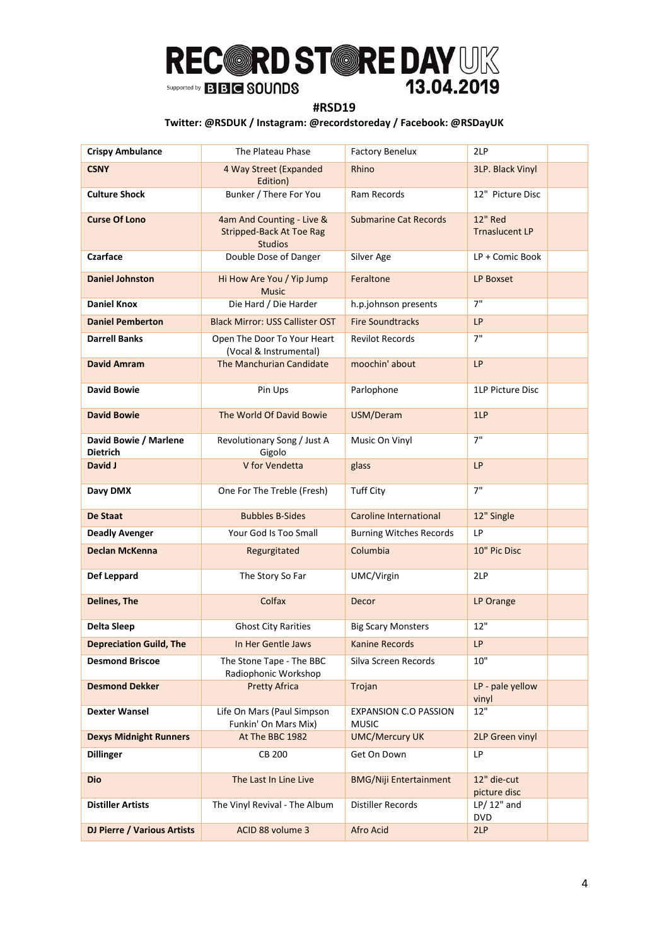### **#RSD19**

| <b>Crispy Ambulance</b>            | The Plateau Phase                                                              | <b>Factory Benelux</b>                       | 2LP                                     |
|------------------------------------|--------------------------------------------------------------------------------|----------------------------------------------|-----------------------------------------|
| <b>CSNY</b>                        | 4 Way Street (Expanded<br>Edition)                                             | Rhino                                        | 3LP. Black Vinyl                        |
| <b>Culture Shock</b>               | Bunker / There For You                                                         | Ram Records                                  | 12" Picture Disc                        |
| <b>Curse Of Lono</b>               | 4am And Counting - Live &<br><b>Stripped-Back At Toe Rag</b><br><b>Studios</b> | <b>Submarine Cat Records</b>                 | <b>12" Red</b><br><b>Trnaslucent LP</b> |
| Czarface                           | Double Dose of Danger                                                          | Silver Age                                   | LP + Comic Book                         |
| <b>Daniel Johnston</b>             | Hi How Are You / Yip Jump<br><b>Music</b>                                      | Feraltone                                    | LP Boxset                               |
| <b>Daniel Knox</b>                 | Die Hard / Die Harder                                                          | h.p.johnson presents                         | 7"                                      |
| <b>Daniel Pemberton</b>            | <b>Black Mirror: USS Callister OST</b>                                         | <b>Fire Soundtracks</b>                      | <b>LP</b>                               |
| Darrell Banks                      | Open The Door To Your Heart<br>(Vocal & Instrumental)                          | <b>Revilot Records</b>                       | 7"                                      |
| David Amram                        | The Manchurian Candidate                                                       | moochin' about                               | LP                                      |
| <b>David Bowie</b>                 | Pin Ups                                                                        | Parlophone                                   | 1LP Picture Disc                        |
| <b>David Bowie</b>                 | The World Of David Bowie                                                       | USM/Deram                                    | 1LP                                     |
| David Bowie / Marlene<br>Dietrich  | Revolutionary Song / Just A<br>Gigolo                                          | Music On Vinyl                               | 7"                                      |
| David J                            | V for Vendetta                                                                 | glass                                        | LP                                      |
| Davy DMX                           | One For The Treble (Fresh)                                                     | <b>Tuff City</b>                             | 7"                                      |
| De Staat                           | <b>Bubbles B-Sides</b>                                                         | <b>Caroline International</b>                | 12" Single                              |
| <b>Deadly Avenger</b>              | Your God Is Too Small                                                          | <b>Burning Witches Records</b>               | LP                                      |
| <b>Declan McKenna</b>              | Regurgitated                                                                   | Columbia                                     | 10" Pic Disc                            |
| Def Leppard                        | The Story So Far                                                               | UMC/Virgin                                   | 2LP                                     |
| <b>Delines, The</b>                | Colfax                                                                         | Decor                                        | LP Orange                               |
| <b>Delta Sleep</b>                 | <b>Ghost City Rarities</b>                                                     | <b>Big Scary Monsters</b>                    | 12"                                     |
| <b>Depreciation Guild, The</b>     | In Her Gentle Jaws                                                             | <b>Kanine Records</b>                        | LP                                      |
| <b>Desmond Briscoe</b>             | The Stone Tape - The BBC<br>Radiophonic Workshop                               | Silva Screen Records                         | 10"                                     |
| <b>Desmond Dekker</b>              | <b>Pretty Africa</b>                                                           | Trojan                                       | LP - pale yellow<br>vinyl               |
| <b>Dexter Wansel</b>               | Life On Mars (Paul Simpson<br>Funkin' On Mars Mix)                             | <b>EXPANSION C.O PASSION</b><br><b>MUSIC</b> | $12"$                                   |
| <b>Dexys Midnight Runners</b>      | At The BBC 1982                                                                | <b>UMC/Mercury UK</b>                        | 2LP Green vinyl                         |
| <b>Dillinger</b>                   | <b>CB 200</b>                                                                  | Get On Down                                  | LP                                      |
| Dio                                | The Last In Line Live                                                          | <b>BMG/Niji Entertainment</b>                | 12" die-cut<br>picture disc             |
| <b>Distiller Artists</b>           | The Vinyl Revival - The Album                                                  | <b>Distiller Records</b>                     | $LP/12"$ and<br><b>DVD</b>              |
| <b>DJ Pierre / Various Artists</b> | ACID 88 volume 3                                                               | Afro Acid                                    | 2LP                                     |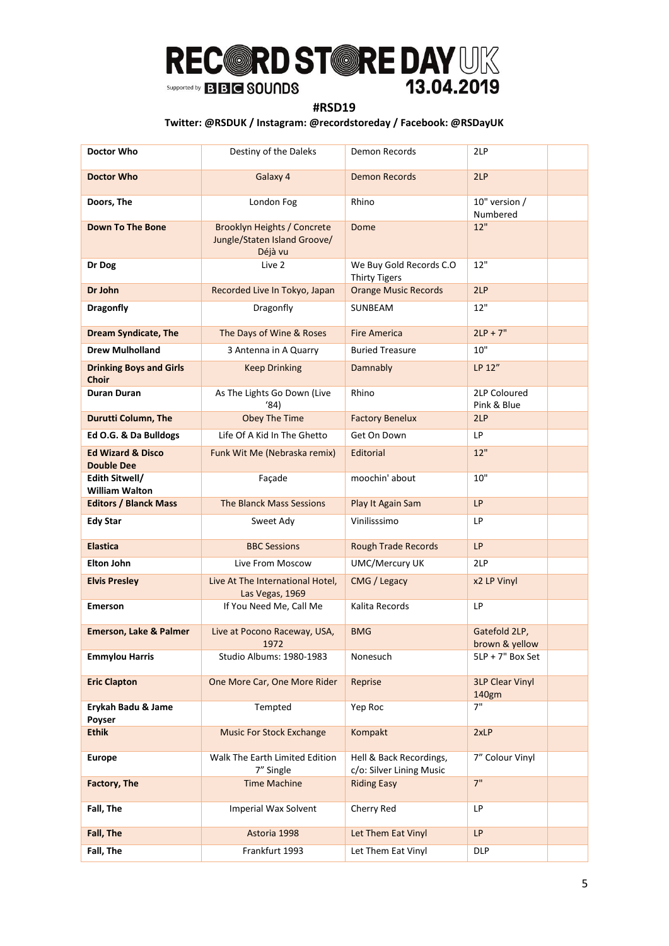### **#RSD19**

| Doctor Who                                        | Destiny of the Daleks                                                         | Demon Records                                       | 2LP                             |  |
|---------------------------------------------------|-------------------------------------------------------------------------------|-----------------------------------------------------|---------------------------------|--|
| <b>Doctor Who</b>                                 | Galaxy 4                                                                      | <b>Demon Records</b>                                | 2LP                             |  |
| Doors, The                                        | London Fog                                                                    | Rhino                                               | 10" version /<br>Numbered       |  |
| <b>Down To The Bone</b>                           | <b>Brooklyn Heights / Concrete</b><br>Jungle/Staten Island Groove/<br>Déjà vu | Dome                                                | 12"                             |  |
| Dr Dog                                            | Live 2                                                                        | We Buy Gold Records C.O<br><b>Thirty Tigers</b>     | 12"                             |  |
| Dr John                                           | Recorded Live In Tokyo, Japan                                                 | <b>Orange Music Records</b>                         | 2LP                             |  |
| <b>Dragonfly</b>                                  | Dragonfly                                                                     | SUNBEAM                                             | 12"                             |  |
| <b>Dream Syndicate, The</b>                       | The Days of Wine & Roses                                                      | <b>Fire America</b>                                 | $2LP + 7"$                      |  |
| <b>Drew Mulholland</b>                            | 3 Antenna in A Quarry                                                         | <b>Buried Treasure</b>                              | 10"                             |  |
| <b>Drinking Boys and Girls</b><br><b>Choir</b>    | <b>Keep Drinking</b>                                                          | Damnably                                            | LP 12"                          |  |
| Duran Duran                                       | As The Lights Go Down (Live<br>(84)                                           | Rhino                                               | 2LP Coloured<br>Pink & Blue     |  |
| <b>Durutti Column, The</b>                        | <b>Obey The Time</b>                                                          | <b>Factory Benelux</b>                              | 2LP                             |  |
| Ed O.G. & Da Bulldogs                             | Life Of A Kid In The Ghetto                                                   | Get On Down                                         | LP                              |  |
| <b>Ed Wizard &amp; Disco</b><br><b>Double Dee</b> | Funk Wit Me (Nebraska remix)                                                  | Editorial                                           | 12"                             |  |
| Edith Sitwell/<br><b>William Walton</b>           | Façade                                                                        | moochin' about                                      | 10"                             |  |
| <b>Editors / Blanck Mass</b>                      | <b>The Blanck Mass Sessions</b>                                               | Play It Again Sam                                   | <b>LP</b>                       |  |
| <b>Edy Star</b>                                   | Sweet Ady                                                                     | Vinilisssimo                                        | LP                              |  |
| <b>Elastica</b>                                   | <b>BBC Sessions</b>                                                           | <b>Rough Trade Records</b>                          | <b>LP</b>                       |  |
| <b>Elton John</b>                                 | Live From Moscow                                                              | <b>UMC/Mercury UK</b>                               | 2LP                             |  |
| <b>Elvis Presley</b>                              | Live At The International Hotel,<br>Las Vegas, 1969                           | CMG / Legacy                                        | x2 LP Vinyl                     |  |
| <b>Emerson</b>                                    | If You Need Me, Call Me                                                       | Kalita Records                                      | LP                              |  |
| <b>Emerson, Lake &amp; Palmer</b>                 | Live at Pocono Raceway, USA,<br>1972                                          | <b>BMG</b>                                          | Gatefold 2LP,<br>brown & yellow |  |
| <b>Emmylou Harris</b>                             | Studio Albums: 1980-1983                                                      | Nonesuch                                            | $5LP + 7"$ Box Set              |  |
| <b>Eric Clapton</b>                               | One More Car, One More Rider                                                  | Reprise                                             | <b>3LP Clear Vinyl</b><br>140gm |  |
| Erykah Badu & Jame<br>Poyser                      | Tempted                                                                       | Yep Roc                                             | 7"                              |  |
| <b>Ethik</b>                                      | <b>Music For Stock Exchange</b>                                               | Kompakt                                             | 2xLP                            |  |
| <b>Europe</b>                                     | Walk The Earth Limited Edition<br>7" Single                                   | Hell & Back Recordings,<br>c/o: Silver Lining Music | 7" Colour Vinyl                 |  |
| <b>Factory, The</b>                               | <b>Time Machine</b>                                                           | <b>Riding Easy</b>                                  | 7"                              |  |
| Fall, The                                         | Imperial Wax Solvent                                                          | Cherry Red                                          | LP                              |  |
| Fall, The                                         | Astoria 1998                                                                  | Let Them Eat Vinyl                                  | LP                              |  |
| Fall, The                                         | Frankfurt 1993                                                                | Let Them Eat Vinyl                                  | <b>DLP</b>                      |  |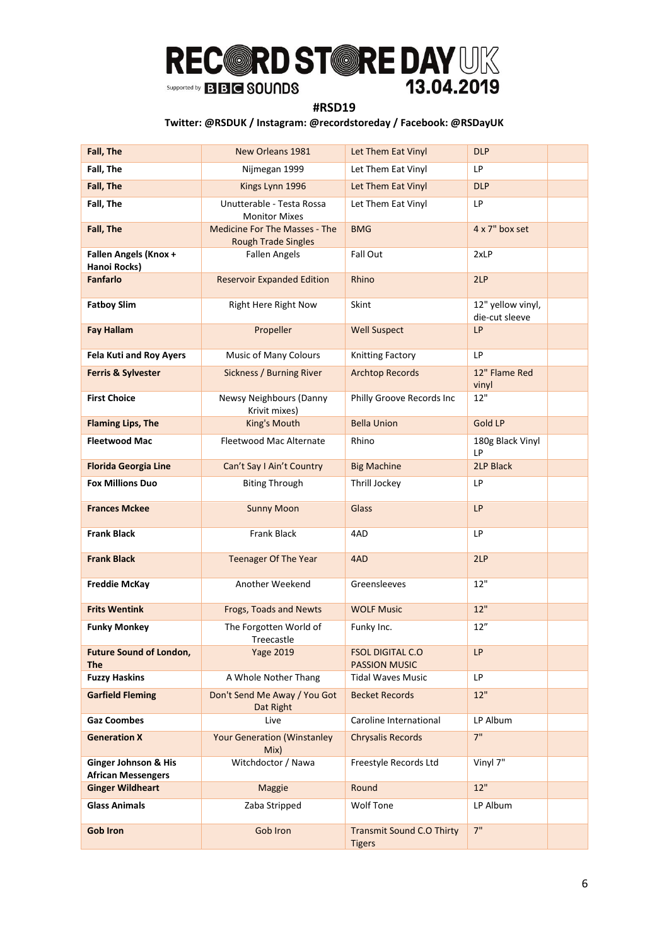### **#RSD19**

| Fall, The                                         | New Orleans 1981                                                   | Let Them Eat Vinyl                                | <b>DLP</b>                          |
|---------------------------------------------------|--------------------------------------------------------------------|---------------------------------------------------|-------------------------------------|
| Fall, The                                         | Nijmegan 1999                                                      | Let Them Eat Vinyl                                | LP                                  |
| Fall, The                                         | Kings Lynn 1996                                                    | Let Them Eat Vinyl                                | <b>DLP</b>                          |
| Fall, The                                         | Unutterable - Testa Rossa<br><b>Monitor Mixes</b>                  | Let Them Eat Vinyl                                | LP                                  |
| Fall, The                                         | <b>Medicine For The Masses - The</b><br><b>Rough Trade Singles</b> | <b>BMG</b>                                        | 4 x 7" box set                      |
| Fallen Angels (Knox +<br>Hanoi Rocks)             | <b>Fallen Angels</b>                                               | Fall Out                                          | 2xLP                                |
| <b>Fanfarlo</b>                                   | <b>Reservoir Expanded Edition</b>                                  | Rhino                                             | 2LP                                 |
| <b>Fatboy Slim</b>                                | Right Here Right Now                                               | Skint                                             | 12" yellow vinyl,<br>die-cut sleeve |
| <b>Fay Hallam</b>                                 | Propeller                                                          | <b>Well Suspect</b>                               | LP                                  |
| <b>Fela Kuti and Roy Ayers</b>                    | Music of Many Colours                                              | <b>Knitting Factory</b>                           | LP                                  |
| <b>Ferris &amp; Sylvester</b>                     | Sickness / Burning River                                           | <b>Archtop Records</b>                            | 12" Flame Red<br>vinyl              |
| <b>First Choice</b>                               | Newsy Neighbours (Danny<br>Krivit mixes)                           | Philly Groove Records Inc                         | 12"                                 |
| <b>Flaming Lips, The</b>                          | King's Mouth                                                       | <b>Bella Union</b>                                | <b>Gold LP</b>                      |
| <b>Fleetwood Mac</b>                              | Fleetwood Mac Alternate                                            | Rhino                                             | 180g Black Vinyl<br>LP              |
| <b>Florida Georgia Line</b>                       | Can't Say I Ain't Country                                          | <b>Big Machine</b>                                | 2LP Black                           |
| <b>Fox Millions Duo</b>                           | <b>Biting Through</b>                                              | Thrill Jockey                                     | LP                                  |
| <b>Frances Mckee</b>                              | <b>Sunny Moon</b>                                                  | <b>Glass</b>                                      | <b>LP</b>                           |
| <b>Frank Black</b>                                | <b>Frank Black</b>                                                 | 4AD                                               | LP                                  |
| <b>Frank Black</b>                                | <b>Teenager Of The Year</b>                                        | 4AD                                               | 2LP                                 |
| <b>Freddie McKay</b>                              | Another Weekend                                                    | Greensleeves                                      | 12"                                 |
| <b>Frits Wentink</b>                              | Frogs, Toads and Newts                                             | <b>WOLF Music</b>                                 | $12"$                               |
| <b>Funky Monkey</b>                               | The Forgotten World of<br>Treecastle                               | Funky Inc.                                        | 12"                                 |
| <b>Future Sound of London,</b><br><b>The</b>      | <b>Yage 2019</b>                                                   | <b>FSOL DIGITAL C.O</b><br><b>PASSION MUSIC</b>   | LP                                  |
| <b>Fuzzy Haskins</b>                              | A Whole Nother Thang                                               | <b>Tidal Waves Music</b>                          | LP                                  |
| <b>Garfield Fleming</b>                           | Don't Send Me Away / You Got<br>Dat Right                          | <b>Becket Records</b>                             | 12"                                 |
| <b>Gaz Coombes</b>                                | Live                                                               | Caroline International                            | LP Album                            |
| <b>Generation X</b>                               | <b>Your Generation (Winstanley</b><br>Mix)                         | <b>Chrysalis Records</b>                          | 7"                                  |
| Ginger Johnson & His<br><b>African Messengers</b> | Witchdoctor / Nawa                                                 | Freestyle Records Ltd                             | Vinyl 7"                            |
| <b>Ginger Wildheart</b>                           | <b>Maggie</b>                                                      | Round                                             | 12"                                 |
| <b>Glass Animals</b>                              | Zaba Stripped                                                      | <b>Wolf Tone</b>                                  | LP Album                            |
| <b>Gob Iron</b>                                   | Gob Iron                                                           | <b>Transmit Sound C.O Thirty</b><br><b>Tigers</b> | 7"                                  |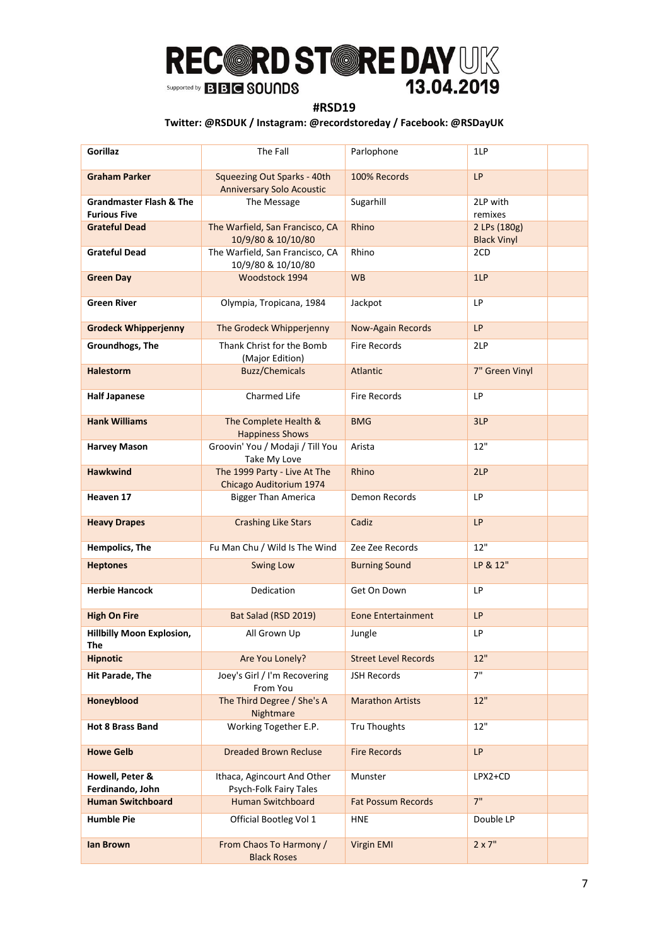### **#RSD19**

| <b>Gorillaz</b>                                           | The Fall                                                        | Parlophone                  | 1LP                                |
|-----------------------------------------------------------|-----------------------------------------------------------------|-----------------------------|------------------------------------|
| <b>Graham Parker</b>                                      | Squeezing Out Sparks - 40th<br><b>Anniversary Solo Acoustic</b> | 100% Records                | <b>LP</b>                          |
| <b>Grandmaster Flash &amp; The</b><br><b>Furious Five</b> | The Message                                                     | Sugarhill                   | 2LP with<br>remixes                |
| <b>Grateful Dead</b>                                      | The Warfield, San Francisco, CA<br>10/9/80 & 10/10/80           | Rhino                       | 2 LPs (180g)<br><b>Black Vinyl</b> |
| <b>Grateful Dead</b>                                      | The Warfield, San Francisco, CA<br>10/9/80 & 10/10/80           | Rhino                       | 2CD                                |
| <b>Green Day</b>                                          | Woodstock 1994                                                  | <b>WB</b>                   | 1LP                                |
| <b>Green River</b>                                        | Olympia, Tropicana, 1984                                        | Jackpot                     | LP                                 |
| <b>Grodeck Whipperjenny</b>                               | The Grodeck Whipperjenny                                        | <b>Now-Again Records</b>    | <b>LP</b>                          |
| Groundhogs, The                                           | Thank Christ for the Bomb<br>(Major Edition)                    | <b>Fire Records</b>         | 2LP                                |
| <b>Halestorm</b>                                          | <b>Buzz/Chemicals</b>                                           | Atlantic                    | 7" Green Vinyl                     |
| <b>Half Japanese</b>                                      | <b>Charmed Life</b>                                             | <b>Fire Records</b>         | LP                                 |
| <b>Hank Williams</b>                                      | The Complete Health &<br><b>Happiness Shows</b>                 | <b>BMG</b>                  | 3LP                                |
| <b>Harvey Mason</b>                                       | Groovin' You / Modaji / Till You<br>Take My Love                | Arista                      | 12"                                |
| <b>Hawkwind</b>                                           | The 1999 Party - Live At The<br>Chicago Auditorium 1974         | Rhino                       | 2LP                                |
| Heaven 17                                                 | <b>Bigger Than America</b>                                      | Demon Records               | LP                                 |
| <b>Heavy Drapes</b>                                       | <b>Crashing Like Stars</b>                                      | Cadiz                       | <b>LP</b>                          |
| Hempolics, The                                            | Fu Man Chu / Wild Is The Wind                                   | Zee Zee Records             | 12"                                |
| <b>Heptones</b>                                           | <b>Swing Low</b>                                                | <b>Burning Sound</b>        | LP & 12"                           |
| <b>Herbie Hancock</b>                                     | Dedication                                                      | Get On Down                 | LP                                 |
| <b>High On Fire</b>                                       | Bat Salad (RSD 2019)                                            | <b>Eone Entertainment</b>   | <b>LP</b>                          |
| <b>Hillbilly Moon Explosion,</b><br>The                   | All Grown Up                                                    | Jungle                      | LP                                 |
| <b>Hipnotic</b>                                           | Are You Lonely?                                                 | <b>Street Level Records</b> | 12"                                |
| <b>Hit Parade, The</b>                                    | Joey's Girl / I'm Recovering<br>From You                        | <b>JSH Records</b>          | 7"                                 |
| Honeyblood                                                | The Third Degree / She's A<br>Nightmare                         | <b>Marathon Artists</b>     | 12"                                |
| <b>Hot 8 Brass Band</b>                                   | Working Together E.P.                                           | Tru Thoughts                | 12"                                |
| <b>Howe Gelb</b>                                          | <b>Dreaded Brown Recluse</b>                                    | <b>Fire Records</b>         | LP                                 |
| Howell, Peter &<br>Ferdinando, John                       | Ithaca, Agincourt And Other<br>Psych-Folk Fairy Tales           | Munster                     | LPX2+CD                            |
| <b>Human Switchboard</b>                                  | <b>Human Switchboard</b>                                        | <b>Fat Possum Records</b>   | 7"                                 |
| <b>Humble Pie</b>                                         | Official Bootleg Vol 1                                          | <b>HNE</b>                  | Double LP                          |
| lan Brown                                                 | From Chaos To Harmony /<br><b>Black Roses</b>                   | Virgin EMI                  | $2 \times 7"$                      |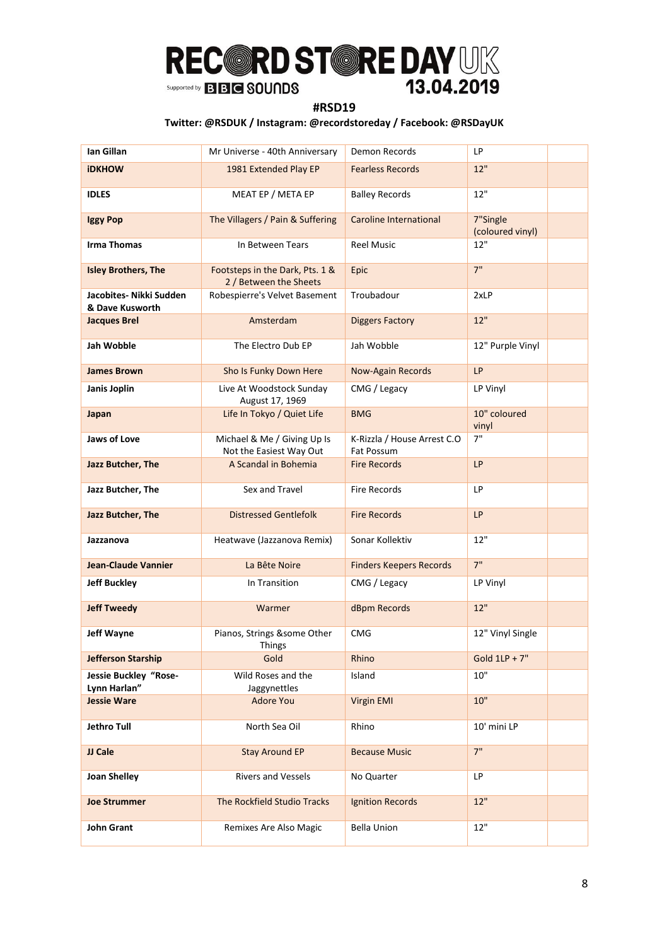### **#RSD19**

| Ian Gillan                                 | Mr Universe - 40th Anniversary                            | Demon Records                             | LP                           |  |
|--------------------------------------------|-----------------------------------------------------------|-------------------------------------------|------------------------------|--|
| <b>iDKHOW</b>                              | 1981 Extended Play EP                                     | <b>Fearless Records</b>                   | 12"                          |  |
| <b>IDLES</b>                               | MEAT EP / META EP                                         | <b>Balley Records</b>                     | 12"                          |  |
| <b>Iggy Pop</b>                            | The Villagers / Pain & Suffering                          | <b>Caroline International</b>             | 7"Single<br>(coloured vinyl) |  |
| <b>Irma Thomas</b>                         | In Between Tears                                          | <b>Reel Music</b>                         | 12"                          |  |
| <b>Isley Brothers, The</b>                 | Footsteps in the Dark, Pts. 1 &<br>2 / Between the Sheets | Epic                                      | 7"                           |  |
| Jacobites- Nikki Sudden<br>& Dave Kusworth | Robespierre's Velvet Basement                             | Troubadour                                | 2xLP                         |  |
| <b>Jacques Brel</b>                        | Amsterdam                                                 | <b>Diggers Factory</b>                    | 12"                          |  |
| Jah Wobble                                 | The Electro Dub EP                                        | Jah Wobble                                | 12" Purple Vinyl             |  |
| <b>James Brown</b>                         | Sho Is Funky Down Here                                    | <b>Now-Again Records</b>                  | LP                           |  |
| Janis Joplin                               | Live At Woodstock Sunday<br>August 17, 1969               | CMG / Legacy                              | LP Vinyl                     |  |
| Japan                                      | Life In Tokyo / Quiet Life                                | <b>BMG</b>                                | 10" coloured<br>vinyl        |  |
| Jaws of Love                               | Michael & Me / Giving Up Is<br>Not the Easiest Way Out    | K-Rizzla / House Arrest C.O<br>Fat Possum | 7"                           |  |
| Jazz Butcher, The                          | A Scandal in Bohemia                                      | <b>Fire Records</b>                       | <b>LP</b>                    |  |
| Jazz Butcher, The                          | Sex and Travel                                            | <b>Fire Records</b>                       | LP                           |  |
| Jazz Butcher, The                          | <b>Distressed Gentlefolk</b>                              | <b>Fire Records</b>                       | LP                           |  |
| Jazzanova                                  | Heatwave (Jazzanova Remix)                                | Sonar Kollektiv                           | 12"                          |  |
| <b>Jean-Claude Vannier</b>                 | La Bête Noire                                             | <b>Finders Keepers Records</b>            | 7"                           |  |
| <b>Jeff Buckley</b>                        | In Transition                                             | CMG / Legacy                              | LP Vinyl                     |  |
| <b>Jeff Tweedy</b>                         | Warmer                                                    | dBpm Records                              | 12"                          |  |
| Jeff Wayne                                 | Pianos, Strings &some Other<br>Things                     | <b>CMG</b>                                | 12" Vinyl Single             |  |
| <b>Jefferson Starship</b>                  | Gold                                                      | Rhino                                     | Gold $1LP + 7"$              |  |
| Jessie Buckley "Rose-<br>Lynn Harlan"      | Wild Roses and the<br>Jaggynettles                        | Island                                    | 10"                          |  |
| <b>Jessie Ware</b>                         | <b>Adore You</b>                                          | <b>Virgin EMI</b>                         | 10"                          |  |
| <b>Jethro Tull</b>                         | North Sea Oil                                             | Rhino                                     | 10' mini LP                  |  |
| JJ Cale                                    | <b>Stay Around EP</b>                                     | <b>Because Music</b>                      | 7"                           |  |
| <b>Joan Shelley</b>                        | <b>Rivers and Vessels</b>                                 | No Quarter                                | LP                           |  |
| <b>Joe Strummer</b>                        | The Rockfield Studio Tracks                               | <b>Ignition Records</b>                   | 12"                          |  |
| <b>John Grant</b>                          | Remixes Are Also Magic                                    | <b>Bella Union</b>                        | $12"$                        |  |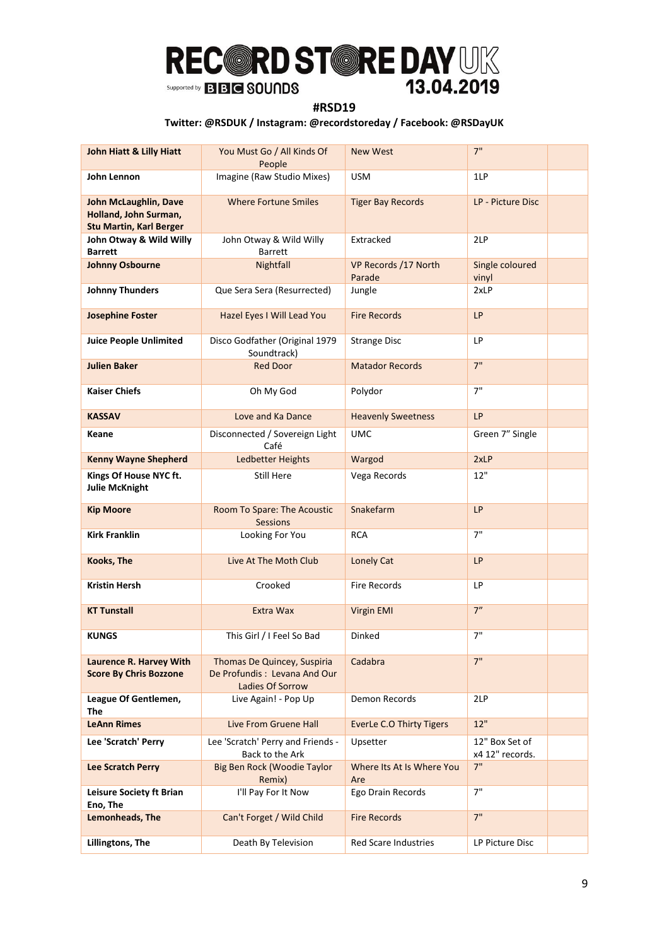### **#RSD19**

| <b>John Hiatt &amp; Lilly Hiatt</b>                                              | You Must Go / All Kinds Of<br>People                 | <b>New West</b>                  | 7"                                |  |
|----------------------------------------------------------------------------------|------------------------------------------------------|----------------------------------|-----------------------------------|--|
| John Lennon                                                                      | Imagine (Raw Studio Mixes)                           | <b>USM</b>                       | 1LP                               |  |
| John McLaughlin, Dave<br>Holland, John Surman,<br><b>Stu Martin, Karl Berger</b> | <b>Where Fortune Smiles</b>                          | <b>Tiger Bay Records</b>         | LP - Picture Disc                 |  |
| John Otway & Wild Willy<br><b>Barrett</b>                                        | John Otway & Wild Willy<br><b>Barrett</b>            | Extracked                        | 2LP                               |  |
| <b>Johnny Osbourne</b>                                                           | Nightfall                                            | VP Records /17 North<br>Parade   | Single coloured<br>vinyl          |  |
| <b>Johnny Thunders</b>                                                           | Que Sera Sera (Resurrected)                          | Jungle                           | 2xLP                              |  |
| <b>Josephine Foster</b>                                                          | Hazel Eyes I Will Lead You                           | <b>Fire Records</b>              | <b>LP</b>                         |  |
| <b>Juice People Unlimited</b>                                                    | Disco Godfather (Original 1979<br>Soundtrack)        | <b>Strange Disc</b>              | LP                                |  |
| <b>Julien Baker</b>                                                              | <b>Red Door</b>                                      | <b>Matador Records</b>           | 7"                                |  |
| <b>Kaiser Chiefs</b>                                                             | Oh My God                                            | Polydor                          | 7"                                |  |
| <b>KASSAV</b>                                                                    | Love and Ka Dance                                    | <b>Heavenly Sweetness</b>        | <b>LP</b>                         |  |
| Keane                                                                            | Disconnected / Sovereign Light<br>Café               | <b>UMC</b>                       | Green 7" Single                   |  |
| <b>Kenny Wayne Shepherd</b>                                                      | Ledbetter Heights                                    | Wargod                           | 2xLP                              |  |
| Kings Of House NYC ft.<br><b>Julie McKnight</b>                                  | Still Here                                           | Vega Records                     | 12"                               |  |
| <b>Kip Moore</b>                                                                 | Room To Spare: The Acoustic<br><b>Sessions</b>       | Snakefarm                        | <b>LP</b>                         |  |
| <b>Kirk Franklin</b>                                                             | Looking For You                                      | <b>RCA</b>                       | 7"                                |  |
| Kooks, The                                                                       | Live At The Moth Club                                | Lonely Cat                       | LP                                |  |
| Kristin Hersh                                                                    | Crooked                                              | <b>Fire Records</b>              | LP                                |  |
| <b>KT Tunstall</b>                                                               | Extra Wax                                            | <b>Virgin EMI</b>                | 7"                                |  |
| <b>KUNGS</b>                                                                     | This Girl / I Feel So Bad                            | Dinked                           | 7"                                |  |
| Laurence R. Harvey With                                                          | Thomas De Quincey, Suspiria                          | Cadabra                          | 7"                                |  |
| <b>Score By Chris Bozzone</b>                                                    | De Profundis: Levana And Our<br>Ladies Of Sorrow     |                                  |                                   |  |
| League Of Gentlemen,<br>The                                                      | Live Again! - Pop Up                                 | Demon Records                    | 2LP                               |  |
| <b>LeAnn Rimes</b>                                                               | <b>Live From Gruene Hall</b>                         | <b>EverLe C.O Thirty Tigers</b>  | 12"                               |  |
| Lee 'Scratch' Perry                                                              | Lee 'Scratch' Perry and Friends -<br>Back to the Ark | Upsetter                         | 12" Box Set of<br>x4 12" records. |  |
| <b>Lee Scratch Perry</b>                                                         | Big Ben Rock (Woodie Taylor<br>Remix)                | Where Its At Is Where You<br>Are | 7"                                |  |
| Leisure Society ft Brian<br>Eno, The                                             | I'll Pay For It Now                                  | Ego Drain Records                | 7"                                |  |
| Lemonheads, The                                                                  | Can't Forget / Wild Child                            | <b>Fire Records</b>              | 7"                                |  |
| Lillingtons, The                                                                 | Death By Television                                  | <b>Red Scare Industries</b>      | LP Picture Disc                   |  |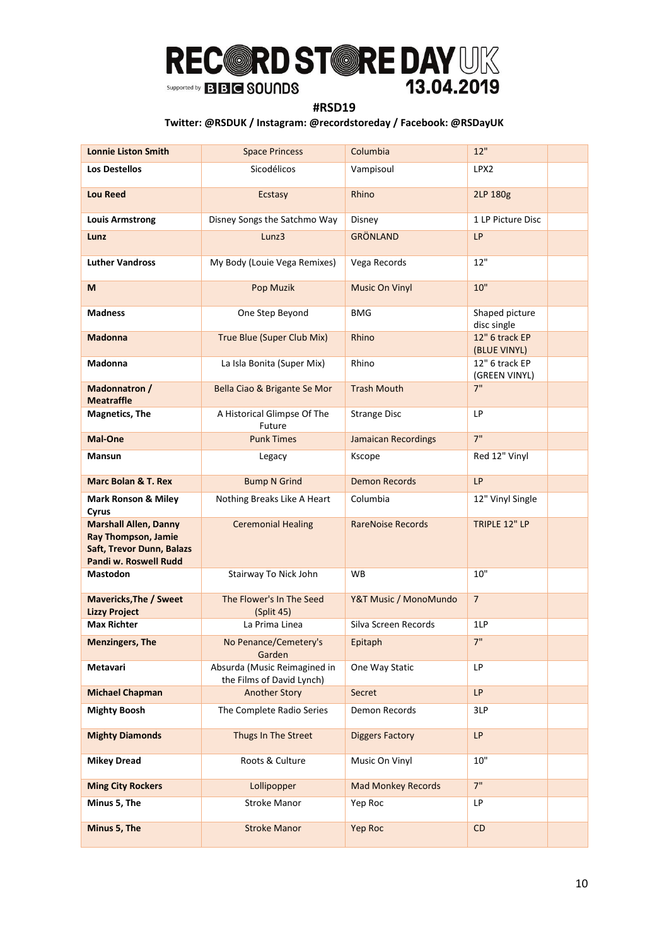### **#RSD19**

| <b>Lonnie Liston Smith</b>                                                                                | <b>Space Princess</b>                                     | Columbia                   | 12"                             |  |
|-----------------------------------------------------------------------------------------------------------|-----------------------------------------------------------|----------------------------|---------------------------------|--|
| <b>Los Destellos</b>                                                                                      | Sicodélicos                                               | Vampisoul                  | LPX <sub>2</sub>                |  |
| <b>Lou Reed</b>                                                                                           | Ecstasy                                                   | Rhino                      | 2LP 180g                        |  |
| <b>Louis Armstrong</b>                                                                                    | Disney Songs the Satchmo Way                              | Disney                     | 1 LP Picture Disc               |  |
| Lunz                                                                                                      | Lunz3                                                     | <b>GRÖNLAND</b>            | LP                              |  |
| <b>Luther Vandross</b>                                                                                    | My Body (Louie Vega Remixes)                              | Vega Records               | 12"                             |  |
| M                                                                                                         | Pop Muzik                                                 | <b>Music On Vinyl</b>      | 10"                             |  |
| <b>Madness</b>                                                                                            | One Step Beyond                                           | <b>BMG</b>                 | Shaped picture<br>disc single   |  |
| <b>Madonna</b>                                                                                            | True Blue (Super Club Mix)                                | Rhino                      | 12" 6 track EP<br>(BLUE VINYL)  |  |
| <b>Madonna</b>                                                                                            | La Isla Bonita (Super Mix)                                | Rhino                      | 12" 6 track EP<br>(GREEN VINYL) |  |
| Madonnatron /<br><b>Meatraffle</b>                                                                        | Bella Ciao & Brigante Se Mor                              | <b>Trash Mouth</b>         | 7"                              |  |
| <b>Magnetics, The</b>                                                                                     | A Historical Glimpse Of The<br>Future                     | <b>Strange Disc</b>        | LP.                             |  |
| Mal-One                                                                                                   | <b>Punk Times</b>                                         | <b>Jamaican Recordings</b> | 7"                              |  |
| Mansun                                                                                                    | Legacy                                                    | Kscope                     | Red 12" Vinyl                   |  |
| <b>Marc Bolan &amp; T. Rex</b>                                                                            | <b>Bump N Grind</b>                                       | <b>Demon Records</b>       | <b>LP</b>                       |  |
| <b>Mark Ronson &amp; Miley</b><br>Cyrus                                                                   | Nothing Breaks Like A Heart                               | Columbia                   | 12" Vinyl Single                |  |
| <b>Marshall Allen, Danny</b><br>Ray Thompson, Jamie<br>Saft, Trevor Dunn, Balazs<br>Pandi w. Roswell Rudd | <b>Ceremonial Healing</b>                                 | <b>RareNoise Records</b>   | TRIPLE 12" LP                   |  |
| Mastodon                                                                                                  | Stairway To Nick John                                     | <b>WB</b>                  | 10"                             |  |
| <b>Mavericks, The / Sweet</b><br><b>Lizzy Project</b>                                                     | The Flower's In The Seed<br>(Split 45)                    | Y&T Music / MonoMundo      | $\overline{7}$                  |  |
| <b>Max Richter</b>                                                                                        | La Prima Linea                                            | Silva Screen Records       | 1LP                             |  |
| <b>Menzingers, The</b>                                                                                    | No Penance/Cemetery's<br>Garden                           | Epitaph                    | 7"                              |  |
| Metavari                                                                                                  | Absurda (Music Reimagined in<br>the Films of David Lynch) | One Way Static             | LP                              |  |
| <b>Michael Chapman</b>                                                                                    | <b>Another Story</b>                                      | Secret                     | LP                              |  |
| <b>Mighty Boosh</b>                                                                                       | The Complete Radio Series                                 | Demon Records              | 3LP                             |  |
| <b>Mighty Diamonds</b>                                                                                    | Thugs In The Street                                       | <b>Diggers Factory</b>     | <b>LP</b>                       |  |
| <b>Mikey Dread</b>                                                                                        | Roots & Culture                                           | Music On Vinyl             | 10"                             |  |
| <b>Ming City Rockers</b>                                                                                  | Lollipopper                                               | <b>Mad Monkey Records</b>  | 7"                              |  |
| Minus 5, The                                                                                              | <b>Stroke Manor</b>                                       | Yep Roc                    | LP                              |  |
| Minus 5, The                                                                                              | <b>Stroke Manor</b>                                       | <b>Yep Roc</b>             | CD                              |  |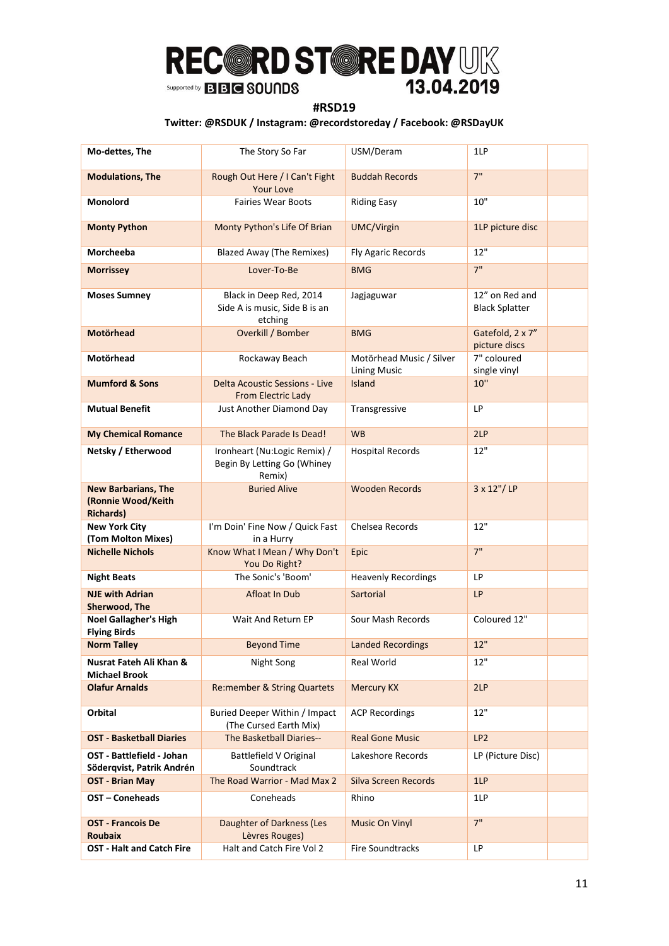### **#RSD19**

| Mo-dettes, The                                                       | The Story So Far                                                      | USM/Deram                                       | 1LP                                     |  |
|----------------------------------------------------------------------|-----------------------------------------------------------------------|-------------------------------------------------|-----------------------------------------|--|
| <b>Modulations, The</b>                                              | Rough Out Here / I Can't Fight<br><b>Your Love</b>                    | <b>Buddah Records</b>                           | 7"                                      |  |
| Monolord                                                             | <b>Fairies Wear Boots</b>                                             | <b>Riding Easy</b>                              | 10"                                     |  |
| <b>Monty Python</b>                                                  | Monty Python's Life Of Brian                                          | <b>UMC/Virgin</b>                               | 1LP picture disc                        |  |
| Morcheeba                                                            | <b>Blazed Away (The Remixes)</b>                                      | Fly Agaric Records                              | 12"                                     |  |
| <b>Morrissey</b>                                                     | Lover-To-Be                                                           | <b>BMG</b>                                      | 7"                                      |  |
| <b>Moses Sumney</b>                                                  | Black in Deep Red, 2014<br>Side A is music, Side B is an<br>etching   | Jagjaguwar                                      | 12" on Red and<br><b>Black Splatter</b> |  |
| <b>Motörhead</b>                                                     | Overkill / Bomber                                                     | <b>BMG</b>                                      | Gatefold, 2 x 7"<br>picture discs       |  |
| Motörhead                                                            | Rockaway Beach                                                        | Motörhead Music / Silver<br><b>Lining Music</b> | 7" coloured<br>single vinyl             |  |
| <b>Mumford &amp; Sons</b>                                            | Delta Acoustic Sessions - Live<br>From Electric Lady                  | <b>Island</b>                                   | 10"                                     |  |
| <b>Mutual Benefit</b>                                                | Just Another Diamond Day                                              | Transgressive                                   | <b>LP</b>                               |  |
| <b>My Chemical Romance</b>                                           | The Black Parade Is Dead!                                             | <b>WB</b>                                       | 2LP                                     |  |
| Netsky / Etherwood                                                   | Ironheart (Nu:Logic Remix) /<br>Begin By Letting Go (Whiney<br>Remix) | <b>Hospital Records</b>                         | 12"                                     |  |
| <b>New Barbarians, The</b><br>(Ronnie Wood/Keith<br><b>Richards)</b> | <b>Buried Alive</b>                                                   | <b>Wooden Records</b>                           | 3 x 12"/LP                              |  |
| <b>New York City</b><br>(Tom Molton Mixes)                           | I'm Doin' Fine Now / Quick Fast<br>in a Hurry                         | Chelsea Records                                 | 12"                                     |  |
| <b>Nichelle Nichols</b>                                              | Know What I Mean / Why Don't<br>You Do Right?                         | Epic                                            | 7"                                      |  |
| <b>Night Beats</b>                                                   | The Sonic's 'Boom'                                                    | <b>Heavenly Recordings</b>                      | LP                                      |  |
| <b>NJE with Adrian</b><br>Sherwood, The                              | <b>Afloat In Dub</b>                                                  | Sartorial                                       | <b>LP</b>                               |  |
| <b>Noel Gallagher's High</b><br><b>Flying Birds</b>                  | Wait And Return EP                                                    | Sour Mash Records                               | Coloured 12"                            |  |
| <b>Norm Talley</b>                                                   | <b>Beyond Time</b>                                                    | <b>Landed Recordings</b>                        | 12"                                     |  |
| Nusrat Fateh Ali Khan &<br><b>Michael Brook</b>                      | Night Song                                                            | Real World                                      | 12"                                     |  |
| <b>Olafur Arnalds</b>                                                | <b>Re:member &amp; String Quartets</b>                                | <b>Mercury KX</b>                               | 2LP                                     |  |
| Orbital                                                              | Buried Deeper Within / Impact<br>(The Cursed Earth Mix)               | <b>ACP Recordings</b>                           | 12"                                     |  |
| <b>OST - Basketball Diaries</b>                                      | The Basketball Diaries--                                              | <b>Real Gone Music</b>                          | LP <sub>2</sub>                         |  |
| OST - Battlefield - Johan<br>Söderqvist, Patrik Andrén               | Battlefield V Original<br>Soundtrack                                  | Lakeshore Records                               | LP (Picture Disc)                       |  |
| <b>OST - Brian May</b>                                               | The Road Warrior - Mad Max 2                                          | Silva Screen Records                            | 1LP                                     |  |
| OST-Coneheads                                                        | Coneheads                                                             | Rhino                                           | 1LP                                     |  |
| <b>OST - Francois De</b><br><b>Roubaix</b>                           | Daughter of Darkness (Les<br>Lèvres Rouges)                           | <b>Music On Vinyl</b>                           | 7"                                      |  |
| <b>OST - Halt and Catch Fire</b>                                     | Halt and Catch Fire Vol 2                                             | Fire Soundtracks                                | LP                                      |  |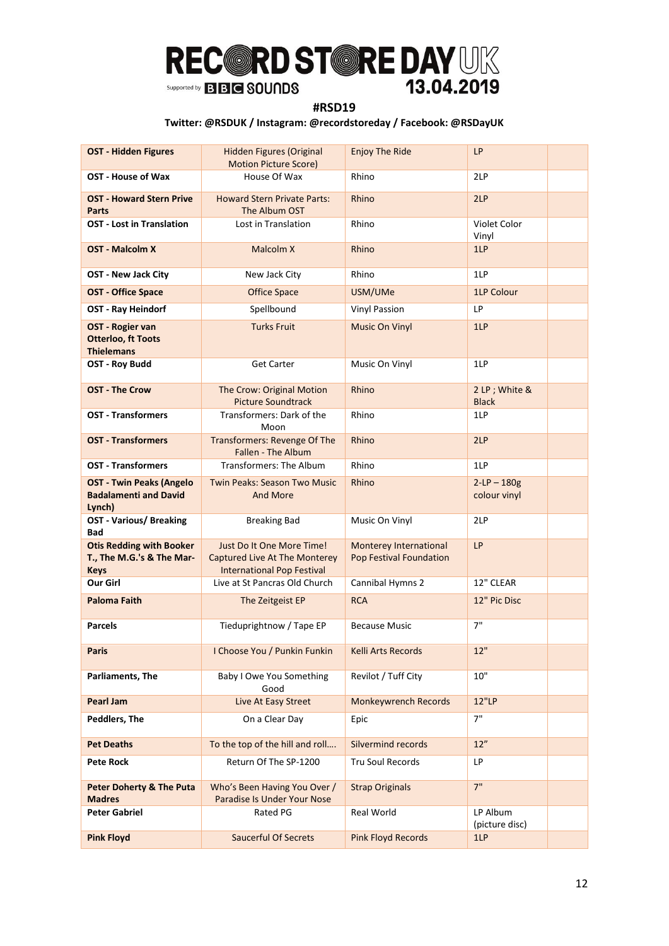### **#RSD19**

| <b>OST - Hidden Figures</b>                                                 | Hidden Figures (Original<br><b>Motion Picture Score)</b>                                               | <b>Enjoy The Ride</b>                             | <b>LP</b>                     |
|-----------------------------------------------------------------------------|--------------------------------------------------------------------------------------------------------|---------------------------------------------------|-------------------------------|
| OST - House of Wax                                                          | House Of Wax                                                                                           | Rhino                                             | 2LP                           |
| <b>OST - Howard Stern Prive</b><br>Parts                                    | <b>Howard Stern Private Parts:</b><br>The Album OST                                                    | Rhino                                             | 2LP                           |
| <b>OST - Lost in Translation</b>                                            | Lost in Translation                                                                                    | Rhino                                             | Violet Color<br>Vinyl         |
| <b>OST - Malcolm X</b>                                                      | Malcolm X                                                                                              | Rhino                                             | 1LP                           |
| <b>OST - New Jack City</b>                                                  | New Jack City                                                                                          | Rhino                                             | 1LP                           |
| <b>OST - Office Space</b>                                                   | <b>Office Space</b>                                                                                    | USM/UMe                                           | 1LP Colour                    |
| OST - Ray Heindorf                                                          | Spellbound                                                                                             | <b>Vinyl Passion</b>                              | LP                            |
| OST - Rogier van<br><b>Otterloo, ft Toots</b><br><b>Thielemans</b>          | <b>Turks Fruit</b>                                                                                     | <b>Music On Vinyl</b>                             | 1LP                           |
| OST - Roy Budd                                                              | <b>Get Carter</b>                                                                                      | Music On Vinyl                                    | 1LP                           |
| <b>OST - The Crow</b>                                                       | The Crow: Original Motion<br><b>Picture Soundtrack</b>                                                 | Rhino                                             | 2 LP; White &<br><b>Black</b> |
| <b>OST - Transformers</b>                                                   | Transformers: Dark of the<br>Moon                                                                      | Rhino                                             | 1LP                           |
| <b>OST - Transformers</b>                                                   | <b>Transformers: Revenge Of The</b><br>Fallen - The Album                                              | Rhino                                             | 2LP                           |
| <b>OST - Transformers</b>                                                   | Transformers: The Album                                                                                | Rhino                                             | 1LP                           |
| <b>OST - Twin Peaks (Angelo</b><br><b>Badalamenti and David</b><br>Lynch)   | <b>Twin Peaks: Season Two Music</b><br><b>And More</b>                                                 | Rhino                                             | $2-LP - 180g$<br>colour vinyl |
| <b>OST - Various/ Breaking</b><br>Bad                                       | <b>Breaking Bad</b>                                                                                    | Music On Vinyl                                    | 2LP                           |
| <b>Otis Redding with Booker</b><br>T., The M.G.'s & The Mar-<br><b>Keys</b> | Just Do It One More Time!<br><b>Captured Live At The Monterey</b><br><b>International Pop Festival</b> | Monterey International<br>Pop Festival Foundation | LP                            |
| Our Girl                                                                    | Live at St Pancras Old Church                                                                          | Cannibal Hymns 2                                  | 12" CLEAR                     |
| <b>Paloma Faith</b>                                                         | The Zeitgeist EP                                                                                       | <b>RCA</b>                                        | 12" Pic Disc                  |
| <b>Parcels</b>                                                              | Tieduprightnow / Tape EP                                                                               | <b>Because Music</b>                              | 7"                            |
| Paris                                                                       | I Choose You / Punkin Funkin                                                                           | Kelli Arts Records                                | 12"                           |
| Parliaments, The                                                            | Baby I Owe You Something<br>Good                                                                       | Revilot / Tuff City                               | 10"                           |
| Pearl Jam                                                                   | Live At Easy Street                                                                                    | <b>Monkeywrench Records</b>                       | 12"LP                         |
| Peddlers, The                                                               | On a Clear Day                                                                                         | Epic                                              | 7"                            |
| <b>Pet Deaths</b>                                                           | To the top of the hill and roll                                                                        | Silvermind records                                | 12"                           |
| <b>Pete Rock</b>                                                            | Return Of The SP-1200                                                                                  | Tru Soul Records                                  | LP                            |
| <b>Peter Doherty &amp; The Puta</b>                                         | Who's Been Having You Over /                                                                           | <b>Strap Originals</b>                            | 7"                            |
| <b>Madres</b><br><b>Peter Gabriel</b>                                       | Paradise Is Under Your Nose<br>Rated PG                                                                | Real World                                        | LP Album                      |
|                                                                             |                                                                                                        |                                                   | (picture disc)                |
| <b>Pink Floyd</b>                                                           | <b>Saucerful Of Secrets</b>                                                                            | <b>Pink Floyd Records</b>                         | 1LP                           |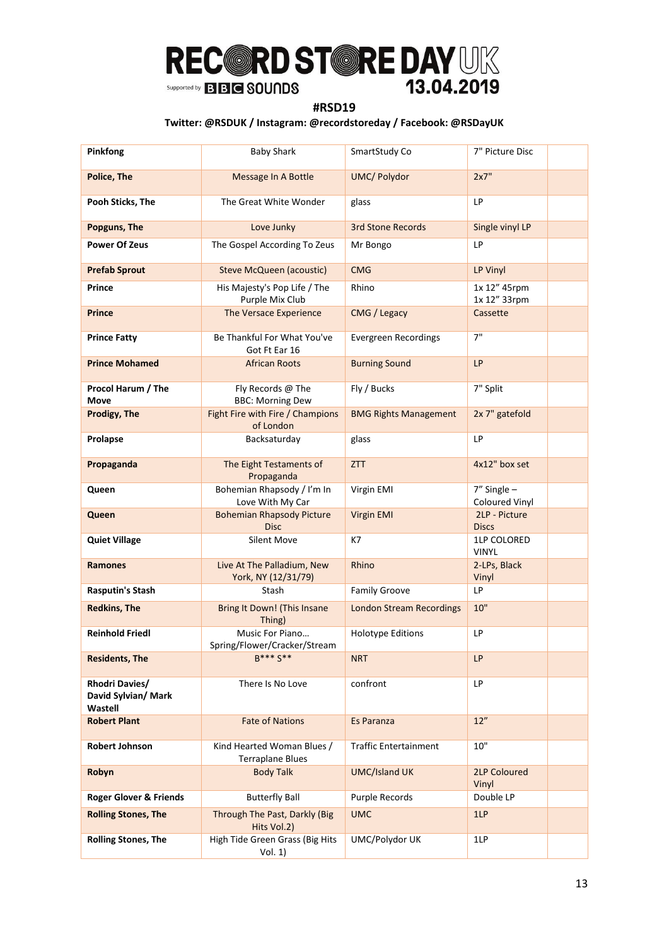### **#RSD19**

| Pinkfong                                         | <b>Baby Shark</b>                                     | SmartStudy Co                   | 7" Picture Disc                    |  |
|--------------------------------------------------|-------------------------------------------------------|---------------------------------|------------------------------------|--|
| Police, The                                      | Message In A Bottle                                   | <b>UMC/ Polydor</b>             | 2x7"                               |  |
| Pooh Sticks, The                                 | The Great White Wonder                                | glass                           | LP                                 |  |
| Popguns, The                                     | Love Junky                                            | <b>3rd Stone Records</b>        | Single vinyl LP                    |  |
| <b>Power Of Zeus</b>                             | The Gospel According To Zeus                          | Mr Bongo                        | LP                                 |  |
| <b>Prefab Sprout</b>                             | <b>Steve McQueen (acoustic)</b>                       | <b>CMG</b>                      | LP Vinyl                           |  |
| Prince                                           | His Majesty's Pop Life / The<br>Purple Mix Club       | Rhino                           | 1x 12" 45rpm<br>1x 12" 33rpm       |  |
| Prince                                           | The Versace Experience                                | CMG / Legacy                    | Cassette                           |  |
| <b>Prince Fatty</b>                              | Be Thankful For What You've<br>Got Ft Ear 16          | Evergreen Recordings            | 7"                                 |  |
| <b>Prince Mohamed</b>                            | <b>African Roots</b>                                  | <b>Burning Sound</b>            | LP                                 |  |
| Procol Harum / The<br>Move                       | Fly Records @ The<br><b>BBC: Morning Dew</b>          | Fly / Bucks                     | 7" Split                           |  |
| Prodigy, The                                     | Fight Fire with Fire / Champions<br>of London         | <b>BMG Rights Management</b>    | 2x 7" gatefold                     |  |
| Prolapse                                         | Backsaturday                                          | glass                           | LP                                 |  |
| Propaganda                                       | The Eight Testaments of<br>Propaganda                 | <b>ZTT</b>                      | 4x12" box set                      |  |
| Queen                                            | Bohemian Rhapsody / I'm In<br>Love With My Car        | Virgin EMI                      | $7''$ Single $-$<br>Coloured Vinyl |  |
| Queen                                            | <b>Bohemian Rhapsody Picture</b><br><b>Disc</b>       | Virgin EMI                      | 2LP - Picture<br><b>Discs</b>      |  |
| <b>Quiet Village</b>                             | <b>Silent Move</b>                                    | K7                              | 1LP COLORED<br><b>VINYL</b>        |  |
| Ramones                                          | Live At The Palladium, New<br>York, NY (12/31/79)     | Rhino                           | 2-LPs, Black<br>Vinyl              |  |
| <b>Rasputin's Stash</b>                          | Stash                                                 | <b>Family Groove</b>            | LP                                 |  |
| <b>Redkins, The</b>                              | Bring It Down! (This Insane<br>Thing)                 | <b>London Stream Recordings</b> | 10"                                |  |
| <b>Reinhold Friedl</b>                           | Music For Piano<br>Spring/Flower/Cracker/Stream       | <b>Holotype Editions</b>        | LP                                 |  |
| <b>Residents, The</b>                            | <b>R*** S**</b>                                       | <b>NRT</b>                      | LP                                 |  |
| Rhodri Davies/<br>David Sylvian/ Mark<br>Wastell | There Is No Love                                      | confront                        | LP                                 |  |
| <b>Robert Plant</b>                              | <b>Fate of Nations</b>                                | Es Paranza                      | 12"                                |  |
| <b>Robert Johnson</b>                            | Kind Hearted Woman Blues /<br><b>Terraplane Blues</b> | <b>Traffic Entertainment</b>    | 10"                                |  |
| Robyn                                            | <b>Body Talk</b>                                      | <b>UMC/Island UK</b>            | <b>2LP Coloured</b><br>Vinyl       |  |
| <b>Roger Glover &amp; Friends</b>                | <b>Butterfly Ball</b>                                 | Purple Records                  | Double LP                          |  |
| <b>Rolling Stones, The</b>                       | Through The Past, Darkly (Big<br>Hits Vol.2)          | <b>UMC</b>                      | 1LP                                |  |
| <b>Rolling Stones, The</b>                       | High Tide Green Grass (Big Hits<br>Vol. 1)            | UMC/Polydor UK                  | 1LP                                |  |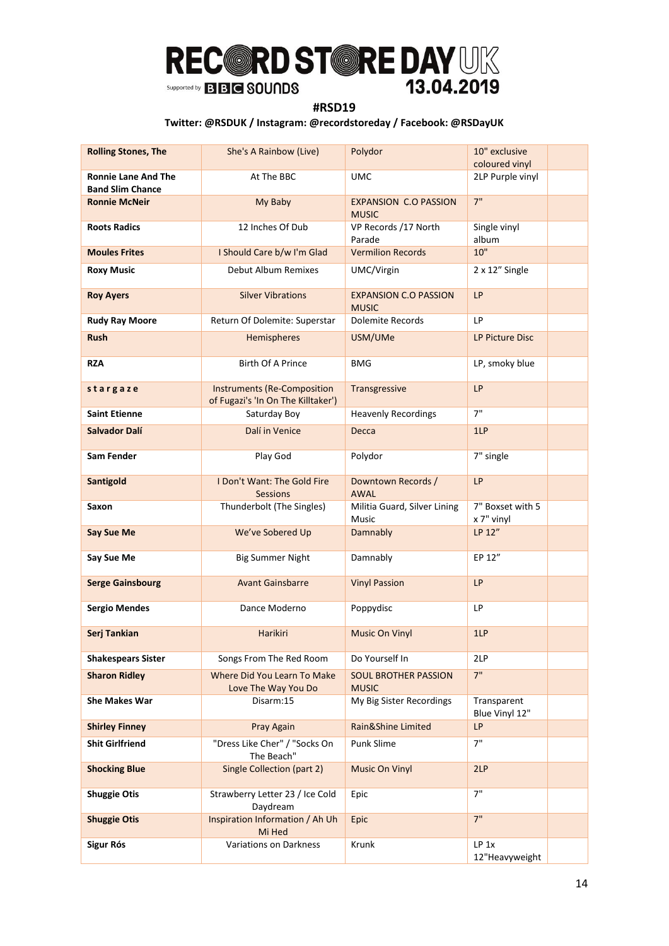### **#RSD19**

| <b>Rolling Stones, The</b>                            | She's A Rainbow (Live)                                                   | Polydor                                      | 10" exclusive<br>coloured vinyl |
|-------------------------------------------------------|--------------------------------------------------------------------------|----------------------------------------------|---------------------------------|
| <b>Ronnie Lane And The</b><br><b>Band Slim Chance</b> | At The BBC                                                               | <b>UMC</b>                                   | 2LP Purple vinyl                |
| <b>Ronnie McNeir</b>                                  | My Baby                                                                  | <b>EXPANSION C.O PASSION</b><br><b>MUSIC</b> | 7"                              |
| <b>Roots Radics</b>                                   | 12 Inches Of Dub                                                         | VP Records /17 North<br>Parade               | Single vinyl<br>album           |
| <b>Moules Frites</b>                                  | I Should Care b/w I'm Glad                                               | <b>Vermilion Records</b>                     | 10"                             |
| <b>Roxy Music</b>                                     | Debut Album Remixes                                                      | UMC/Virgin                                   | 2 x 12" Single                  |
| <b>Roy Ayers</b>                                      | <b>Silver Vibrations</b>                                                 | <b>EXPANSION C.O PASSION</b><br><b>MUSIC</b> | LP                              |
| <b>Rudy Ray Moore</b>                                 | Return Of Dolemite: Superstar                                            | Dolemite Records                             | LP                              |
| <b>Rush</b>                                           | Hemispheres                                                              | USM/UMe                                      | LP Picture Disc                 |
| <b>RZA</b>                                            | <b>Birth Of A Prince</b>                                                 | <b>BMG</b>                                   | LP, smoky blue                  |
| stargaze                                              | <b>Instruments (Re-Composition</b><br>of Fugazi's 'In On The Killtaker') | Transgressive                                | <b>LP</b>                       |
| <b>Saint Etienne</b>                                  | Saturday Boy                                                             | <b>Heavenly Recordings</b>                   | 7"                              |
| Salvador Dalí                                         | Dalí in Venice                                                           | Decca                                        | 1LP                             |
| Sam Fender                                            | Play God                                                                 | Polydor                                      | 7" single                       |
| <b>Santigold</b>                                      | I Don't Want: The Gold Fire<br><b>Sessions</b>                           | Downtown Records /<br><b>AWAL</b>            | LP                              |
| Saxon                                                 | Thunderbolt (The Singles)                                                | Militia Guard, Silver Lining<br><b>Music</b> | 7" Boxset with 5<br>x 7" vinyl  |
| Say Sue Me                                            | We've Sobered Up                                                         | Damnably                                     | LP 12"                          |
| Say Sue Me                                            | <b>Big Summer Night</b>                                                  | Damnably                                     | EP 12"                          |
| <b>Serge Gainsbourg</b>                               | <b>Avant Gainsbarre</b>                                                  | <b>Vinyl Passion</b>                         | <b>LP</b>                       |
| <b>Sergio Mendes</b>                                  | Dance Moderno                                                            | Poppydisc                                    | LP                              |
| Serj Tankian                                          | <b>Harikiri</b>                                                          | <b>Music On Vinyl</b>                        | 1LP                             |
| <b>Shakespears Sister</b>                             | Songs From The Red Room                                                  | Do Yourself In                               | 2LP                             |
| <b>Sharon Ridley</b>                                  | Where Did You Learn To Make<br>Love The Way You Do                       | <b>SOUL BROTHER PASSION</b><br><b>MUSIC</b>  | 7"                              |
| <b>She Makes War</b>                                  | Disarm:15                                                                | My Big Sister Recordings                     | Transparent<br>Blue Vinyl 12"   |
| <b>Shirley Finney</b>                                 | Pray Again                                                               | Rain&Shine Limited                           | <b>LP</b>                       |
| <b>Shit Girlfriend</b>                                | "Dress Like Cher" / "Socks On<br>The Beach"                              | Punk Slime                                   | 7"                              |
| <b>Shocking Blue</b>                                  | <b>Single Collection (part 2)</b>                                        | <b>Music On Vinyl</b>                        | 2LP                             |
| <b>Shuggie Otis</b>                                   | Strawberry Letter 23 / Ice Cold<br>Daydream                              | Epic                                         | 7"                              |
| <b>Shuggie Otis</b>                                   | Inspiration Information / Ah Uh<br>Mi Hed                                | Epic                                         | 7"                              |
| <b>Sigur Rós</b>                                      | <b>Variations on Darkness</b>                                            | Krunk                                        | LP 1x<br>12"Heavyweight         |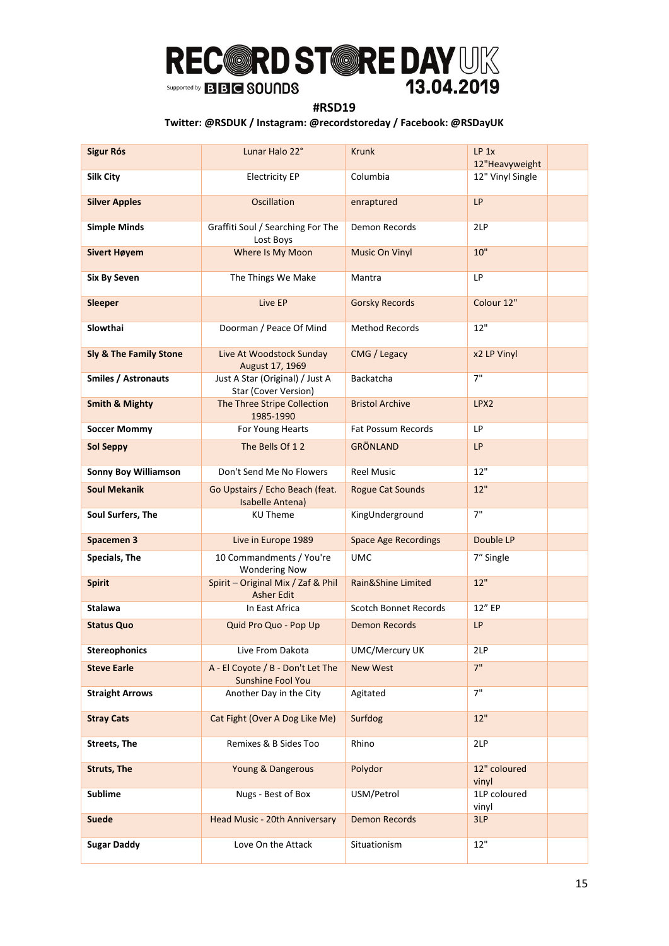### **#RSD19**

| <b>Sigur Rós</b>            | Lunar Halo 22°                                          | <b>Krunk</b>                 | LP <sub>1x</sub><br>12"Heavyweight |
|-----------------------------|---------------------------------------------------------|------------------------------|------------------------------------|
| <b>Silk City</b>            | <b>Electricity EP</b>                                   | Columbia                     | 12" Vinyl Single                   |
| <b>Silver Apples</b>        | <b>Oscillation</b>                                      | enraptured                   | <b>LP</b>                          |
| <b>Simple Minds</b>         | Graffiti Soul / Searching For The<br>Lost Boys          | Demon Records                | 2LP                                |
| <b>Sivert Høyem</b>         | Where Is My Moon                                        | <b>Music On Vinyl</b>        | 10"                                |
| <b>Six By Seven</b>         | The Things We Make                                      | Mantra                       | LP                                 |
| <b>Sleeper</b>              | Live EP                                                 | <b>Gorsky Records</b>        | Colour 12"                         |
| Slowthai                    | Doorman / Peace Of Mind                                 | <b>Method Records</b>        | 12"                                |
| Sly & The Family Stone      | Live At Woodstock Sunday<br>August 17, 1969             | CMG / Legacy                 | x2 LP Vinyl                        |
| <b>Smiles / Astronauts</b>  | Just A Star (Original) / Just A<br>Star (Cover Version) | <b>Backatcha</b>             | 7"                                 |
| <b>Smith &amp; Mighty</b>   | The Three Stripe Collection<br>1985-1990                | <b>Bristol Archive</b>       | LPX2                               |
| <b>Soccer Mommy</b>         | For Young Hearts                                        | Fat Possum Records           | LP                                 |
| <b>Sol Seppy</b>            | The Bells Of 12                                         | <b>GRÖNLAND</b>              | <b>LP</b>                          |
| <b>Sonny Boy Williamson</b> | Don't Send Me No Flowers                                | <b>Reel Music</b>            | 12"                                |
| <b>Soul Mekanik</b>         | Go Upstairs / Echo Beach (feat.<br>Isabelle Antena)     | <b>Rogue Cat Sounds</b>      | 12"                                |
| Soul Surfers, The           | <b>KU Theme</b>                                         | KingUnderground              | 7"                                 |
| <b>Spacemen 3</b>           | Live in Europe 1989                                     | <b>Space Age Recordings</b>  | Double LP                          |
| Specials, The               | 10 Commandments / You're<br><b>Wondering Now</b>        | <b>UMC</b>                   | 7" Single                          |
| <b>Spirit</b>               | Spirit - Original Mix / Zaf & Phil<br><b>Asher Edit</b> | Rain&Shine Limited           | 12"                                |
| Stalawa                     | In East Africa                                          | <b>Scotch Bonnet Records</b> | 12" EP                             |
| <b>Status Quo</b>           | Quid Pro Quo - Pop Up                                   | <b>Demon Records</b>         | <b>LP</b>                          |
| <b>Stereophonics</b>        | Live From Dakota                                        | <b>UMC/Mercury UK</b>        | 2LP                                |
| <b>Steve Earle</b>          | A - El Coyote / B - Don't Let The<br>Sunshine Fool You  | <b>New West</b>              | 7"                                 |
| <b>Straight Arrows</b>      | Another Day in the City                                 | Agitated                     | 7"                                 |
| <b>Stray Cats</b>           | Cat Fight (Over A Dog Like Me)                          | Surfdog                      | 12"                                |
| <b>Streets, The</b>         | Remixes & B Sides Too                                   | Rhino                        | 2LP                                |
| <b>Struts, The</b>          | Young & Dangerous                                       | Polydor                      | 12" coloured<br>vinyl              |
| <b>Sublime</b>              | Nugs - Best of Box                                      | USM/Petrol                   | 1LP coloured<br>vinyl              |
| <b>Suede</b>                | Head Music - 20th Anniversary                           | <b>Demon Records</b>         | 3LP                                |
| <b>Sugar Daddy</b>          | Love On the Attack                                      | Situationism                 | 12"                                |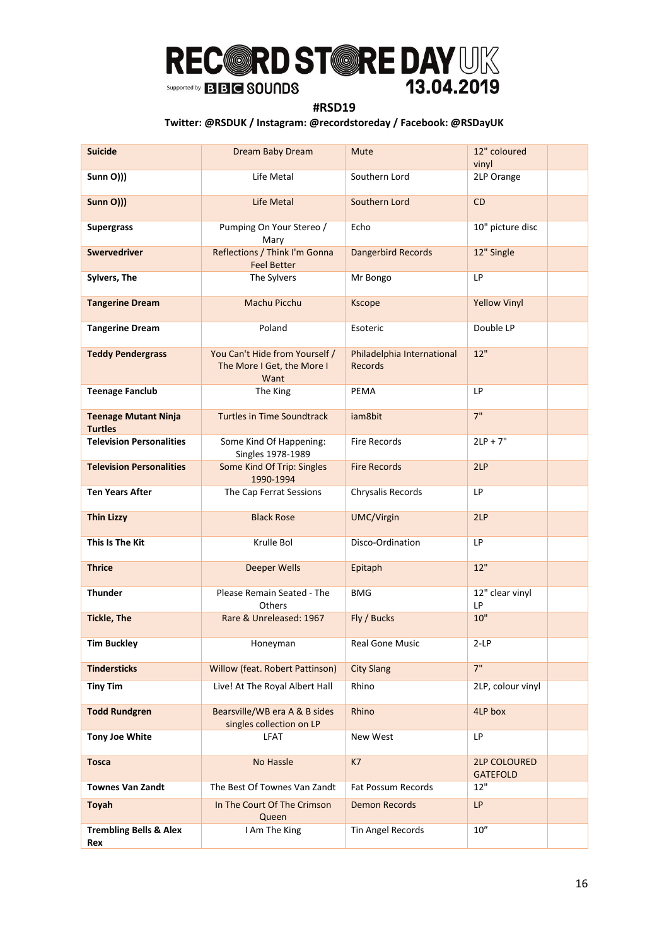### **#RSD19**

| <b>Suicide</b>                                | Dream Baby Dream                                                     | <b>Mute</b>                                  | 12" coloured<br>vinyl                  |
|-----------------------------------------------|----------------------------------------------------------------------|----------------------------------------------|----------------------------------------|
| Sunn O)))                                     | Life Metal                                                           | Southern Lord                                | 2LP Orange                             |
| <b>Sunn O)))</b>                              | Life Metal                                                           | Southern Lord                                | <b>CD</b>                              |
| <b>Supergrass</b>                             | Pumping On Your Stereo /<br>Mary                                     | Echo                                         | 10" picture disc                       |
| <b>Swervedriver</b>                           | Reflections / Think I'm Gonna<br><b>Feel Better</b>                  | <b>Dangerbird Records</b>                    | 12" Single                             |
| Sylvers, The                                  | The Sylvers                                                          | Mr Bongo                                     | LP                                     |
| <b>Tangerine Dream</b>                        | Machu Picchu                                                         | <b>Kscope</b>                                | <b>Yellow Vinyl</b>                    |
| <b>Tangerine Dream</b>                        | Poland                                                               | Esoteric                                     | Double LP                              |
| <b>Teddy Pendergrass</b>                      | You Can't Hide from Yourself /<br>The More I Get, the More I<br>Want | Philadelphia International<br><b>Records</b> | 12"                                    |
| <b>Teenage Fanclub</b>                        | The King                                                             | <b>PEMA</b>                                  | LP                                     |
| <b>Teenage Mutant Ninja</b><br><b>Turtles</b> | <b>Turtles in Time Soundtrack</b>                                    | jam8bit                                      | 7"                                     |
| <b>Television Personalities</b>               | Some Kind Of Happening:<br>Singles 1978-1989                         | <b>Fire Records</b>                          | $2LP + 7"$                             |
| <b>Television Personalities</b>               | Some Kind Of Trip: Singles<br>1990-1994                              | <b>Fire Records</b>                          | 2LP                                    |
| <b>Ten Years After</b>                        | The Cap Ferrat Sessions                                              | Chrysalis Records                            | LP.                                    |
| <b>Thin Lizzy</b>                             | <b>Black Rose</b>                                                    | UMC/Virgin                                   | 2LP                                    |
| This Is The Kit                               | Krulle Bol                                                           | Disco-Ordination                             | LP                                     |
| <b>Thrice</b>                                 | <b>Deeper Wells</b>                                                  | Epitaph                                      | 12"                                    |
| Thunder                                       | Please Remain Seated - The<br>Others                                 | <b>BMG</b>                                   | 12" clear vinyl<br>LP                  |
| <b>Tickle, The</b>                            | Rare & Unreleased: 1967                                              | Fly / Bucks                                  | 10"                                    |
| <b>Tim Buckley</b>                            | Honeyman                                                             | Real Gone Music                              | $2-LP$                                 |
| <b>Tindersticks</b>                           | Willow (feat. Robert Pattinson)                                      | <b>City Slang</b>                            | 7"                                     |
| <b>Tiny Tim</b>                               | Live! At The Royal Albert Hall                                       | Rhino                                        | 2LP, colour vinyl                      |
| <b>Todd Rundgren</b>                          | Bearsville/WB era A & B sides<br>singles collection on LP            | Rhino                                        | 4LP box                                |
| <b>Tony Joe White</b>                         | <b>LFAT</b>                                                          | New West                                     | LP                                     |
| <b>Tosca</b>                                  | No Hassle                                                            | K7                                           | <b>2LP COLOURED</b><br><b>GATEFOLD</b> |
| <b>Townes Van Zandt</b>                       | The Best Of Townes Van Zandt                                         | Fat Possum Records                           | 12"                                    |
| <b>Toyah</b>                                  | In The Court Of The Crimson<br>Queen                                 | <b>Demon Records</b>                         | LP                                     |
| <b>Trembling Bells &amp; Alex</b><br>Rex      | I Am The King                                                        | Tin Angel Records                            | $10''$                                 |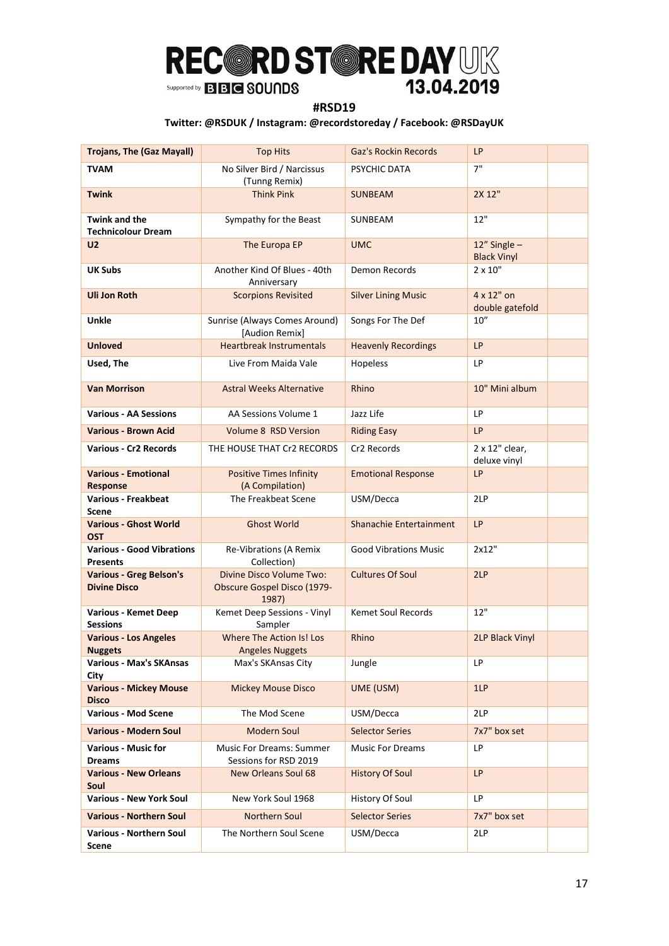### **#RSD19**

| <b>Trojans, The (Gaz Mayall)</b>                      | <b>Top Hits</b>                                                  | <b>Gaz's Rockin Records</b>  | LP                                    |
|-------------------------------------------------------|------------------------------------------------------------------|------------------------------|---------------------------------------|
| <b>TVAM</b>                                           | No Silver Bird / Narcissus<br>(Tunng Remix)                      | PSYCHIC DATA                 | 7"                                    |
| <b>Twink</b>                                          | <b>Think Pink</b>                                                | <b>SUNBEAM</b>               | 2X 12"                                |
| <b>Twink and the</b><br><b>Technicolour Dream</b>     | Sympathy for the Beast                                           | SUNBEAM                      | 12"                                   |
| <b>U2</b>                                             | The Europa EP                                                    | <b>UMC</b>                   | $12''$ Single -<br><b>Black Vinyl</b> |
| <b>UK Subs</b>                                        | Another Kind Of Blues - 40th<br>Anniversary                      | Demon Records                | $2 \times 10"$                        |
| <b>Uli Jon Roth</b>                                   | <b>Scorpions Revisited</b>                                       | <b>Silver Lining Music</b>   | 4 x 12" on<br>double gatefold         |
| Unkle                                                 | Sunrise (Always Comes Around)<br>[Audion Remix]                  | Songs For The Def            | 10''                                  |
| <b>Unloved</b>                                        | <b>Heartbreak Instrumentals</b>                                  | <b>Heavenly Recordings</b>   | <b>LP</b>                             |
| Used, The                                             | Live From Maida Vale                                             | Hopeless                     | LP                                    |
| <b>Van Morrison</b>                                   | <b>Astral Weeks Alternative</b>                                  | Rhino                        | 10" Mini album                        |
| <b>Various - AA Sessions</b>                          | AA Sessions Volume 1                                             | Jazz Life                    | LP                                    |
| <b>Various - Brown Acid</b>                           | <b>Volume 8 RSD Version</b>                                      | <b>Riding Easy</b>           | <b>LP</b>                             |
| <b>Various - Cr2 Records</b>                          | THE HOUSE THAT Cr2 RECORDS                                       | Cr2 Records                  | 2 x 12" clear,<br>deluxe vinyl        |
| <b>Various - Emotional</b><br><b>Response</b>         | <b>Positive Times Infinity</b><br>(A Compilation)                | <b>Emotional Response</b>    | LP                                    |
| <b>Various - Freakbeat</b><br>Scene                   | The Freakbeat Scene                                              | USM/Decca                    | 2LP                                   |
| <b>Various - Ghost World</b><br><b>OST</b>            | <b>Ghost World</b>                                               | Shanachie Entertainment      | LP                                    |
| <b>Various - Good Vibrations</b><br><b>Presents</b>   | Re-Vibrations (A Remix<br>Collection)                            | <b>Good Vibrations Music</b> | 2x12"                                 |
| <b>Various - Greg Belson's</b><br><b>Divine Disco</b> | Divine Disco Volume Two:<br>Obscure Gospel Disco (1979-<br>1987) | <b>Cultures Of Soul</b>      | 2LP                                   |
| <b>Various - Kemet Deep</b><br><b>Sessions</b>        | Kemet Deep Sessions - Vinyl<br>Sampler                           | <b>Kemet Soul Records</b>    | 12"                                   |
| <b>Various - Los Angeles</b><br><b>Nuggets</b>        | Where The Action Is! Los<br><b>Angeles Nuggets</b>               | Rhino                        | <b>2LP Black Vinyl</b>                |
| Various - Max's SKAnsas<br>City                       | Max's SKAnsas City                                               | Jungle                       | LP                                    |
| <b>Various - Mickey Mouse</b><br><b>Disco</b>         | <b>Mickey Mouse Disco</b>                                        | UME (USM)                    | 1LP                                   |
| <b>Various - Mod Scene</b>                            | The Mod Scene                                                    | USM/Decca                    | 2LP                                   |
| <b>Various - Modern Soul</b>                          | <b>Modern Soul</b>                                               | <b>Selector Series</b>       | 7x7" box set                          |
| <b>Various - Music for</b><br><b>Dreams</b>           | <b>Music For Dreams: Summer</b><br>Sessions for RSD 2019         | <b>Music For Dreams</b>      | LP                                    |
| <b>Various - New Orleans</b><br>Soul                  | <b>New Orleans Soul 68</b>                                       | <b>History Of Soul</b>       | <b>LP</b>                             |
| <b>Various - New York Soul</b>                        | New York Soul 1968                                               | History Of Soul              | LP.                                   |
| <b>Various - Northern Soul</b>                        | Northern Soul                                                    | <b>Selector Series</b>       | 7x7" box set                          |
| <b>Various - Northern Soul</b><br>Scene               | The Northern Soul Scene                                          | USM/Decca                    | 2LP                                   |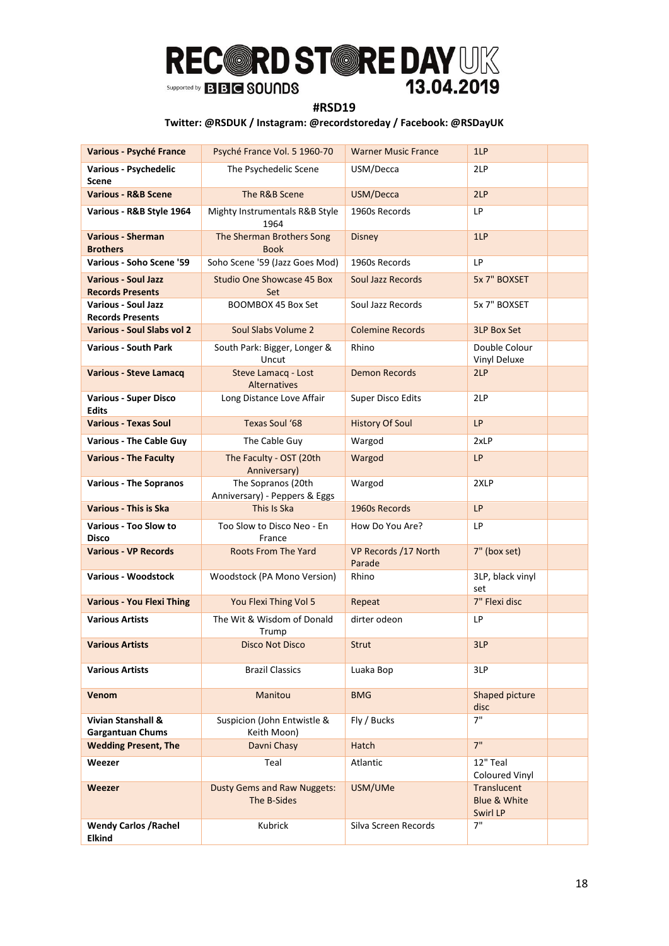### **#RSD19**

| Various - Psyché France                               | Psyché France Vol. 5 1960-70                        | <b>Warner Music France</b>     | 1LP                                     |
|-------------------------------------------------------|-----------------------------------------------------|--------------------------------|-----------------------------------------|
| Various - Psychedelic<br>Scene                        | The Psychedelic Scene                               | USM/Decca                      | 2LP                                     |
| <b>Various - R&amp;B Scene</b>                        | The R&B Scene                                       | USM/Decca                      | 2LP                                     |
| Various - R&B Style 1964                              | Mighty Instrumentals R&B Style<br>1964              | 1960s Records                  | LP                                      |
| <b>Various - Sherman</b><br><b>Brothers</b>           | The Sherman Brothers Song<br><b>Book</b>            | <b>Disney</b>                  | 1LP                                     |
| Various - Soho Scene '59                              | Soho Scene '59 (Jazz Goes Mod)                      | 1960s Records                  | LP                                      |
| <b>Various - Soul Jazz</b><br><b>Records Presents</b> | <b>Studio One Showcase 45 Box</b><br>Set            | Soul Jazz Records              | 5x 7" BOXSET                            |
| <b>Various - Soul Jazz</b><br><b>Records Presents</b> | BOOMBOX 45 Box Set                                  | Soul Jazz Records              | 5x 7" BOXSET                            |
| <b>Various - Soul Slabs vol 2</b>                     | Soul Slabs Volume 2                                 | <b>Colemine Records</b>        | <b>3LP Box Set</b>                      |
| <b>Various - South Park</b>                           | South Park: Bigger, Longer &<br>Uncut               | Rhino                          | Double Colour<br>Vinyl Deluxe           |
| <b>Various - Steve Lamacq</b>                         | Steve Lamacq - Lost<br>Alternatives                 | <b>Demon Records</b>           | 2LP                                     |
| <b>Various - Super Disco</b><br><b>Edits</b>          | Long Distance Love Affair                           | Super Disco Edits              | 2LP                                     |
| <b>Various - Texas Soul</b>                           | Texas Soul '68                                      | <b>History Of Soul</b>         | LP                                      |
| <b>Various - The Cable Guy</b>                        | The Cable Guy                                       | Wargod                         | 2xLP                                    |
| <b>Various - The Faculty</b>                          | The Faculty - OST (20th<br>Anniversary)             | Wargod                         | <b>LP</b>                               |
| <b>Various - The Sopranos</b>                         | The Sopranos (20th<br>Anniversary) - Peppers & Eggs | Wargod                         | 2XLP                                    |
| <b>Various - This is Ska</b>                          | This Is Ska                                         | 1960s Records                  | LP                                      |
| <b>Various - Too Slow to</b><br><b>Disco</b>          | Too Slow to Disco Neo - En<br>France                | How Do You Are?                | LP                                      |
| <b>Various - VP Records</b>                           | <b>Roots From The Yard</b>                          | VP Records /17 North<br>Parade | 7" (box set)                            |
| <b>Various - Woodstock</b>                            | Woodstock (PA Mono Version)                         | Rhino                          | 3LP, black vinyl<br>set                 |
| <b>Various - You Flexi Thing</b>                      | You Flexi Thing Vol 5                               | Repeat                         | 7" Flexi disc                           |
| <b>Various Artists</b>                                | The Wit & Wisdom of Donald<br>Trump                 | dirter odeon                   | LP                                      |
| <b>Various Artists</b>                                | Disco Not Disco                                     | Strut                          | 3LP                                     |
| <b>Various Artists</b>                                | <b>Brazil Classics</b>                              | Luaka Bop                      | 3LP                                     |
| <b>Venom</b>                                          | Manitou                                             | <b>BMG</b>                     | Shaped picture<br>disc                  |
| Vivian Stanshall &<br><b>Gargantuan Chums</b>         | Suspicion (John Entwistle &<br>Keith Moon)          | Fly / Bucks                    | 7"                                      |
| <b>Wedding Present, The</b>                           | Davni Chasy                                         | Hatch                          | 7"                                      |
| Weezer                                                | Teal                                                | Atlantic                       | 12" Teal<br>Coloured Vinyl              |
| Weezer                                                | <b>Dusty Gems and Raw Nuggets:</b><br>The B-Sides   | USM/UMe                        | Translucent<br>Blue & White<br>Swirl LP |
| <b>Wendy Carlos / Rachel</b><br><b>Elkind</b>         | Kubrick                                             | Silva Screen Records           | 7"                                      |